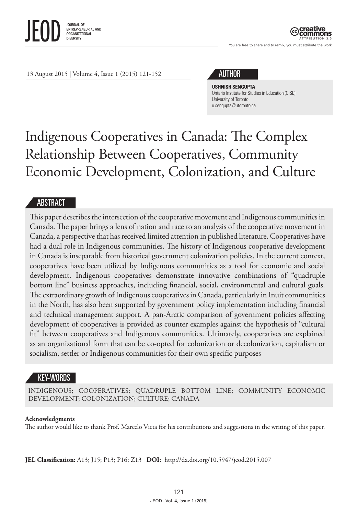

ATTRIBUTION 3.0

You are free to share and to remix, you must attribute the work

13 August 2015 | Volume 4, Issue 1 (2015) 121-152

# AUTHOR

**USHNISH SENGUPTA** Ontario Institute for Studies in Education (OISE) University of Toronto [u.sengupta@utoronto.ca](mailto:u.sengupta@utoronto.ca)

# Indigenous Cooperatives in Canada: The Complex Relationship Between Cooperatives, Community Economic Development, Colonization, and Culture

#### ABSTRACT

This paper describes the intersection of the cooperative movement and Indigenous communities in Canada. The paper brings a lens of nation and race to an analysis of the cooperative movement in Canada, a perspective that has received limited attention in published literature. Cooperatives have had a dual role in Indigenous communities. The history of Indigenous cooperative development in Canada is inseparable from historical government colonization policies. In the current context, cooperatives have been utilized by Indigenous communities as a tool for economic and social development. Indigenous cooperatives demonstrate innovative combinations of "quadruple bottom line" business approaches, including financial, social, environmental and cultural goals. The extraordinary growth of Indigenous cooperatives in Canada, particularly in Inuit communities in the North, has also been supported by government policy implementation including financial and technical management support. A pan-Arctic comparison of government policies affecting development of cooperatives is provided as counter examples against the hypothesis of "cultural fit" between cooperatives and Indigenous communities. Ultimately, cooperatives are explained as an organizational form that can be co-opted for colonization or decolonization, capitalism or socialism, settler or Indigenous communities for their own specific purposes

# KEY-WORDS

INDIGENOUS; COOPERATIVES; QUADRUPLE BOTTOM LINE; COMMUNITY ECONOMIC DEVELOPMENT; COLONIZATION; CULTURE; CANADA

#### **Acknowledgments**

The author would like to thank Prof. Marcelo Vieta for his contributions and suggestions in the writing of this paper.

**JEL Classification:** A13; J15; P13; P16; Z13 | **DOI:** <http://dx.doi.org/10.5947/jeod.2015.007>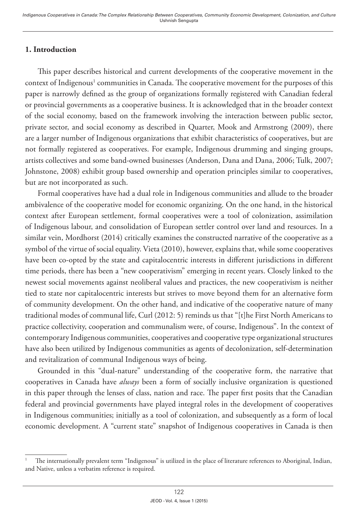# **1. Introduction**

This paper describes historical and current developments of the cooperative movement in the context of Indigenous<sup>1</sup> communities in Canada. The cooperative movement for the purposes of this paper is narrowly defined as the group of organizations formally registered with Canadian federal or provincial governments as a cooperative business. It is acknowledged that in the broader context of the social economy, based on the framework involving the interaction between public sector, private sector, and social economy as described in Quarter, Mook and Armstrong (2009), there are a larger number of Indigenous organizations that exhibit characteristics of cooperatives, but are not formally registered as cooperatives. For example, Indigenous drumming and singing groups, artists collectives and some band-owned businesses (Anderson, Dana and Dana, 2006; Tulk, 2007; Johnstone, 2008) exhibit group based ownership and operation principles similar to cooperatives, but are not incorporated as such.

Formal cooperatives have had a dual role in Indigenous communities and allude to the broader ambivalence of the cooperative model for economic organizing. On the one hand, in the historical context after European settlement, formal cooperatives were a tool of colonization, assimilation of Indigenous labour, and consolidation of European settler control over land and resources. In a similar vein, Mordhorst (2014) critically examines the constructed narrative of the cooperative as a symbol of the virtue of social equality. Vieta (2010), however, explains that, while some cooperatives have been co-opted by the state and capitalocentric interests in different jurisdictions in different time periods, there has been a "new cooperativism" emerging in recent years. Closely linked to the newest social movements against neoliberal values and practices, the new cooperativism is neither tied to state nor capitalocentric interests but strives to move beyond them for an alternative form of community development. On the other hand, and indicative of the cooperative nature of many traditional modes of communal life, Curl (2012: 5) reminds us that "[t]he First North Americans to practice collectivity, cooperation and communalism were, of course, Indigenous". In the context of contemporary Indigenous communities, cooperatives and cooperative type organizational structures have also been utilized by Indigenous communities as agents of decolonization, self-determination and revitalization of communal Indigenous ways of being.

Grounded in this "dual-nature" understanding of the cooperative form, the narrative that cooperatives in Canada have *always* been a form of socially inclusive organization is questioned in this paper through the lenses of class, nation and race. The paper first posits that the Canadian federal and provincial governments have played integral roles in the development of cooperatives in Indigenous communities; initially as a tool of colonization, and subsequently as a form of local economic development. A "current state" snapshot of Indigenous cooperatives in Canada is then

<sup>1</sup> The internationally prevalent term "Indigenous" is utilized in the place of literature references to Aboriginal, Indian, and Native, unless a verbatim reference is required.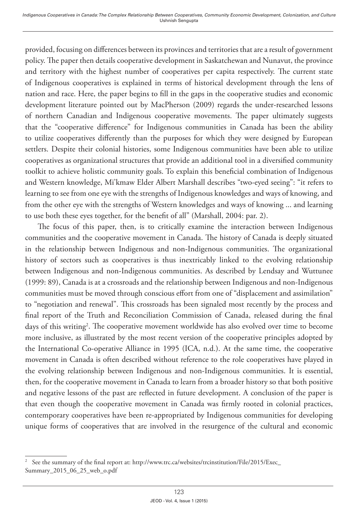provided, focusing on differences between its provinces and territories that are a result of government policy. The paper then details cooperative development in Saskatchewan and Nunavut, the province and territory with the highest number of cooperatives per capita respectively. The current state of Indigenous cooperatives is explained in terms of historical development through the lens of nation and race. Here, the paper begins to fill in the gaps in the cooperative studies and economic development literature pointed out by MacPherson (2009) regards the under-researched lessons of northern Canadian and Indigenous cooperative movements. The paper ultimately suggests that the "cooperative difference" for Indigenous communities in Canada has been the ability to utilize cooperatives differently than the purposes for which they were designed by European settlers. Despite their colonial histories, some Indigenous communities have been able to utilize cooperatives as organizational structures that provide an additional tool in a diversified community toolkit to achieve holistic community goals. To explain this beneficial combination of Indigenous and Western knowledge, Mi'kmaw Elder Albert Marshall describes "two-eyed seeing": "it refers to learning to see from one eye with the strengths of Indigenous knowledges and ways of knowing, and from the other eye with the strengths of Western knowledges and ways of knowing ... and learning to use both these eyes together, for the benefit of all" (Marshall, 2004: par. 2).

The focus of this paper, then, is to critically examine the interaction between Indigenous communities and the cooperative movement in Canada. The history of Canada is deeply situated in the relationship between Indigenous and non-Indigenous communities. The organizational history of sectors such as cooperatives is thus inextricably linked to the evolving relationship between Indigenous and non-Indigenous communities. As described by Lendsay and Wuttunee (1999: 89), Canada is at a crossroads and the relationship between Indigenous and non-Indigenous communities must be moved through conscious effort from one of "displacement and assimilation" to "negotiation and renewal". This crossroads has been signaled most recently by the process and final report of the Truth and Reconciliation Commission of Canada, released during the final days of this writing<sup>2</sup>. The cooperative movement worldwide has also evolved over time to become more inclusive, as illustrated by the most recent version of the cooperative principles adopted by the International Co-operative Alliance in 1995 (ICA, n.d.). At the same time, the cooperative movement in Canada is often described without reference to the role cooperatives have played in the evolving relationship between Indigenous and non-Indigenous communities. It is essential, then, for the cooperative movement in Canada to learn from a broader history so that both positive and negative lessons of the past are reflected in future development. A conclusion of the paper is that even though the cooperative movement in Canada was firmly rooted in colonial practices, contemporary cooperatives have been re-appropriated by Indigenous communities for developing unique forms of cooperatives that are involved in the resurgence of the cultural and economic

<sup>2</sup> See the summary of the final report at: http://www.trc.ca/websites/trcinstitution/File/2015/Exec\_ Summary\_2015\_06\_25\_web\_o.pdf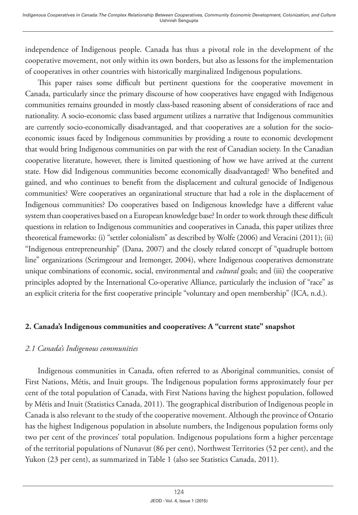independence of Indigenous people. Canada has thus a pivotal role in the development of the cooperative movement, not only within its own borders, but also as lessons for the implementation of cooperatives in other countries with historically marginalized Indigenous populations.

This paper raises some difficult but pertinent questions for the cooperative movement in Canada, particularly since the primary discourse of how cooperatives have engaged with Indigenous communities remains grounded in mostly class-based reasoning absent of considerations of race and nationality. A socio-economic class based argument utilizes a narrative that Indigenous communities are currently socio-economically disadvantaged, and that cooperatives are a solution for the socioeconomic issues faced by Indigenous communities by providing a route to economic development that would bring Indigenous communities on par with the rest of Canadian society. In the Canadian cooperative literature, however, there is limited questioning of how we have arrived at the current state. How did Indigenous communities become economically disadvantaged? Who benefited and gained, and who continues to benefit from the displacement and cultural genocide of Indigenous communities? Were cooperatives an organizational structure that had a role in the displacement of Indigenous communities? Do cooperatives based on Indigenous knowledge have a different value system than cooperatives based on a European knowledge base? In order to work through these difficult questions in relation to Indigenous communities and cooperatives in Canada, this paper utilizes three theoretical frameworks: (i) "settler colonialism" as described by Wolfe (2006) and Veracini (2011); (ii) "Indigenous entrepreneurship" (Dana, 2007) and the closely related concept of "quadruple bottom line" organizations (Scrimgeour and Iremonger, 2004), where Indigenous cooperatives demonstrate unique combinations of economic, social, environmental and *cultural* goals; and (iii) the cooperative principles adopted by the International Co-operative Alliance, particularly the inclusion of "race" as an explicit criteria for the first cooperative principle "voluntary and open membership" (ICA, n.d.).

#### **2. Canada's Indigenous communities and cooperatives: A "current state" snapshot**

#### *2.1 Canada's Indigenous communities*

Indigenous communities in Canada, often referred to as Aboriginal communities, consist of First Nations, Métis, and Inuit groups. The Indigenous population forms approximately four per cent of the total population of Canada, with First Nations having the highest population, followed by Métis and Inuit (Statistics Canada, 2011). The geographical distribution of Indigenous people in Canada is also relevant to the study of the cooperative movement. Although the province of Ontario has the highest Indigenous population in absolute numbers, the Indigenous population forms only two per cent of the provinces' total population. Indigenous populations form a higher percentage of the territorial populations of Nunavut (86 per cent), Northwest Territories (52 per cent), and the Yukon (23 per cent), as summarized in Table 1 (also see Statistics Canada, 2011).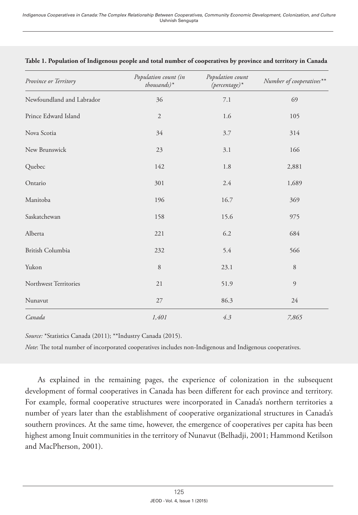| Province or Territory     | Population count (in<br>$thousands)*$ | Population count<br>$(\textit{percentage})$ * | Number of cooperatives** |
|---------------------------|---------------------------------------|-----------------------------------------------|--------------------------|
| Newfoundland and Labrador | 36                                    | 7.1                                           | 69                       |
| Prince Edward Island      | $\overline{2}$                        | 1.6                                           | 105                      |
| Nova Scotia               | 34                                    | 3.7                                           | 314                      |
| New Brunswick             | 23                                    | 3.1                                           | 166                      |
| Quebec                    | 142                                   | 1.8                                           | 2,881                    |
| Ontario                   | 301                                   | 2.4                                           | 1,689                    |
| Manitoba                  | 196                                   | 16.7                                          | 369                      |
| Saskatchewan              | 158                                   | 15.6                                          | 975                      |
| Alberta                   | 221                                   | 6.2                                           | 684                      |
| British Columbia          | 232                                   | 5.4                                           | 566                      |
| Yukon                     | 8                                     | 23.1                                          | 8                        |
| Northwest Territories     | 21                                    | 51.9                                          | 9                        |
| Nunavut                   | 27                                    | 86.3                                          | 24                       |
| Canada                    | 1,401                                 | 4.3                                           | 7,865                    |

#### **Table 1. Population of Indigenous people and total number of cooperatives by province and territory in Canada**

*Source:* \*Statistics Canada (2011); \*\*Industry Canada (2015).

*Note*: The total number of incorporated cooperatives includes non-Indigenous and Indigenous cooperatives.

As explained in the remaining pages, the experience of colonization in the subsequent development of formal cooperatives in Canada has been different for each province and territory. For example, formal cooperative structures were incorporated in Canada's northern territories a number of years later than the establishment of cooperative organizational structures in Canada's southern provinces. At the same time, however, the emergence of cooperatives per capita has been highest among Inuit communities in the territory of Nunavut (Belhadji, 2001; Hammond Ketilson and MacPherson, 2001).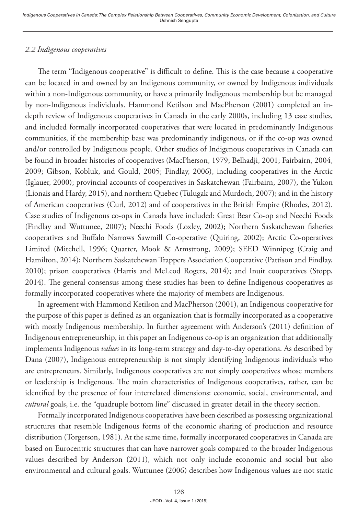## *2.2 Indigenous cooperatives*

The term "Indigenous cooperative" is difficult to define. This is the case because a cooperative can be located in and owned by an Indigenous community, or owned by Indigenous individuals within a non-Indigenous community, or have a primarily Indigenous membership but be managed by non-Indigenous individuals. Hammond Ketilson and MacPherson (2001) completed an indepth review of Indigenous cooperatives in Canada in the early 2000s, including 13 case studies, and included formally incorporated cooperatives that were located in predominantly Indigenous communities, if the membership base was predominantly indigenous, or if the co-op was owned and/or controlled by Indigenous people. Other studies of Indigenous cooperatives in Canada can be found in broader histories of cooperatives (MacPherson, 1979; Belhadji, 2001; Fairbairn, 2004, 2009; Gibson, Kobluk, and Gould, 2005; Findlay, 2006), including cooperatives in the Arctic (Iglauer, 2000); provincial accounts of cooperatives in Saskatchewan (Fairbairn, 2007), the Yukon (Lionais and Hardy, 2015), and northern Quebec (Tulugak and Murdoch, 2007); and in the history of American cooperatives (Curl, 2012) and of cooperatives in the British Empire (Rhodes, 2012). Case studies of Indigenous co-ops in Canada have included: Great Bear Co-op and Neechi Foods (Findlay and Wuttunee, 2007); Neechi Foods (Loxley, 2002); Northern Saskatchewan fisheries cooperatives and Buffalo Narrows Sawmill Co-operative (Quiring, 2002); Arctic Co-operatives Limited (Mitchell, 1996; Quarter, Mook & Armstrong, 2009); SEED Winnipeg (Craig and Hamilton, 2014); Northern Saskatchewan Trappers Association Cooperative (Pattison and Findlay, 2010); prison cooperatives (Harris and McLeod Rogers, 2014); and Inuit cooperatives (Stopp, 2014). The general consensus among these studies has been to define Indigenous cooperatives as formally incorporated cooperatives where the majority of members are Indigenous.

In agreement with Hammond Ketilson and MacPherson (2001), an Indigenous cooperative for the purpose of this paper is defined as an organization that is formally incorporated as a cooperative with mostly Indigenous membership. In further agreement with Anderson's (2011) definition of Indigenous entrepreneurship, in this paper an Indigenous co-op is an organization that additionally implements Indigenous *values* in its long-term strategy and day-to-day operations. As described by Dana (2007), Indigenous entrepreneurship is not simply identifying Indigenous individuals who are entrepreneurs. Similarly, Indigenous cooperatives are not simply cooperatives whose members or leadership is Indigenous. The main characteristics of Indigenous cooperatives, rather, can be identified by the presence of four interrelated dimensions: economic, social, environmental, and *cultural* goals, i.e. the "quadruple bottom line" discussed in greater detail in the theory section.

Formally incorporated Indigenous cooperatives have been described as possessing organizational structures that resemble Indigenous forms of the economic sharing of production and resource distribution (Torgerson, 1981). At the same time, formally incorporated cooperatives in Canada are based on Eurocentric structures that can have narrower goals compared to the broader Indigenous values described by Anderson (2011), which not only include economic and social but also environmental and cultural goals. Wuttunee (2006) describes how Indigenous values are not static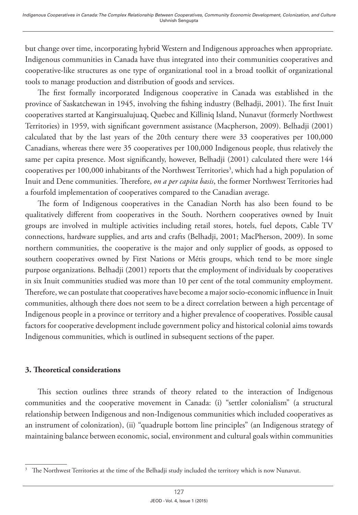but change over time, incorporating hybrid Western and Indigenous approaches when appropriate. Indigenous communities in Canada have thus integrated into their communities cooperatives and cooperative-like structures as one type of organizational tool in a broad toolkit of organizational tools to manage production and distribution of goods and services.

The first formally incorporated Indigenous cooperative in Canada was established in the province of Saskatchewan in 1945, involving the fishing industry (Belhadji, 2001). The first Inuit cooperatives started at Kangirsualujuaq, Quebec and Killiniq Island, Nunavut (formerly Northwest Territories) in 1959, with significant government assistance (Macpherson, 2009). Belhadji (2001) calculated that by the last years of the 20th century there were 33 cooperatives per 100,000 Canadians, whereas there were 35 cooperatives per 100,000 Indigenous people, thus relatively the same per capita presence. Most significantly, however, Belhadji (2001) calculated there were 144 cooperatives per 100,000 inhabitants of the Northwest Territories<sup>3</sup>, which had a high population of Inuit and Dene communities. Therefore, *on a per capita basis*, the former Northwest Territories had a fourfold implementation of cooperatives compared to the Canadian average.

The form of Indigenous cooperatives in the Canadian North has also been found to be qualitatively different from cooperatives in the South. Northern cooperatives owned by Inuit groups are involved in multiple activities including retail stores, hotels, fuel depots, Cable TV connections, hardware supplies, and arts and crafts (Belhadji, 2001; MacPherson, 2009). In some northern communities, the cooperative is the major and only supplier of goods, as opposed to southern cooperatives owned by First Nations or Métis groups, which tend to be more single purpose organizations. Belhadji (2001) reports that the employment of individuals by cooperatives in six Inuit communities studied was more than 10 per cent of the total community employment. Therefore, we can postulate that cooperatives have become a major socio-economic influence in Inuit communities, although there does not seem to be a direct correlation between a high percentage of Indigenous people in a province or territory and a higher prevalence of cooperatives. Possible causal factors for cooperative development include government policy and historical colonial aims towards Indigenous communities, which is outlined in subsequent sections of the paper.

#### **3. Theoretical considerations**

This section outlines three strands of theory related to the interaction of Indigenous communities and the cooperative movement in Canada: (i) "settler colonialism" (a structural relationship between Indigenous and non-Indigenous communities which included cooperatives as an instrument of colonization), (ii) "quadruple bottom line principles" (an Indigenous strategy of maintaining balance between economic, social, environment and cultural goals within communities

<sup>3</sup> The Northwest Territories at the time of the Belhadji study included the territory which is now Nunavut.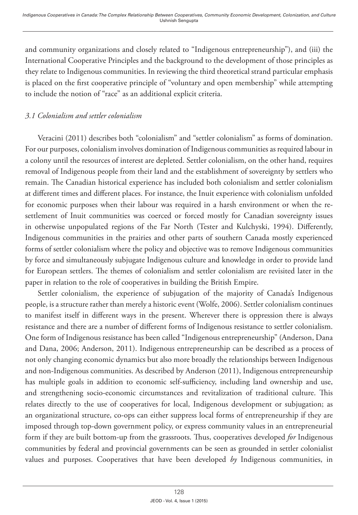and community organizations and closely related to "Indigenous entrepreneurship"), and (iii) the International Cooperative Principles and the background to the development of those principles as they relate to Indigenous communities. In reviewing the third theoretical strand particular emphasis is placed on the first cooperative principle of "voluntary and open membership" while attempting to include the notion of "race" as an additional explicit criteria.

#### *3.1 Colonialism and settler colonialism*

Veracini (2011) describes both "colonialism" and "settler colonialism" as forms of domination. For our purposes, colonialism involves domination of Indigenous communities as required labour in a colony until the resources of interest are depleted. Settler colonialism, on the other hand, requires removal of Indigenous people from their land and the establishment of sovereignty by settlers who remain. The Canadian historical experience has included both colonialism and settler colonialism at different times and different places. For instance, the Inuit experience with colonialism unfolded for economic purposes when their labour was required in a harsh environment or when the resettlement of Inuit communities was coerced or forced mostly for Canadian sovereignty issues in otherwise unpopulated regions of the Far North (Tester and Kulchyski, 1994). Differently, Indigenous communities in the prairies and other parts of southern Canada mostly experienced forms of settler colonialism where the policy and objective was to remove Indigenous communities by force and simultaneously subjugate Indigenous culture and knowledge in order to provide land for European settlers. The themes of colonialism and settler colonialism are revisited later in the paper in relation to the role of cooperatives in building the British Empire.

Settler colonialism, the experience of subjugation of the majority of Canada's Indigenous people, is a structure rather than merely a historic event (Wolfe, 2006). Settler colonialism continues to manifest itself in different ways in the present. Wherever there is oppression there is always resistance and there are a number of different forms of Indigenous resistance to settler colonialism. One form of Indigenous resistance has been called "Indigenous entrepreneurship" (Anderson, Dana and Dana, 2006; Anderson, 2011). Indigenous entrepreneurship can be described as a process of not only changing economic dynamics but also more broadly the relationships between Indigenous and non-Indigenous communities. As described by Anderson (2011), Indigenous entrepreneurship has multiple goals in addition to economic self-sufficiency, including land ownership and use, and strengthening socio-economic circumstances and revitalization of traditional culture. This relates directly to the use of cooperatives for local, Indigenous development or subjugation; as an organizational structure, co-ops can either suppress local forms of entrepreneurship if they are imposed through top-down government policy, or express community values in an entrepreneurial form if they are built bottom-up from the grassroots. Thus, cooperatives developed *for* Indigenous communities by federal and provincial governments can be seen as grounded in settler colonialist values and purposes. Cooperatives that have been developed *by* Indigenous communities, in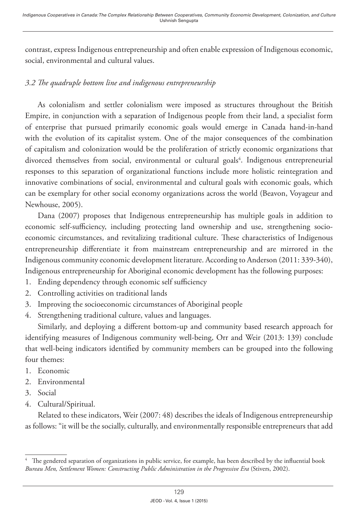contrast, express Indigenous entrepreneurship and often enable expression of Indigenous economic, social, environmental and cultural values.

# *3.2 The quadruple bottom line and indigenous entrepreneurship*

As colonialism and settler colonialism were imposed as structures throughout the British Empire, in conjunction with a separation of Indigenous people from their land, a specialist form of enterprise that pursued primarily economic goals would emerge in Canada hand-in-hand with the evolution of its capitalist system. One of the major consequences of the combination of capitalism and colonization would be the proliferation of strictly economic organizations that divorced themselves from social, environmental or cultural goals<sup>4</sup>. Indigenous entrepreneurial responses to this separation of organizational functions include more holistic reintegration and innovative combinations of social, environmental and cultural goals with economic goals, which can be exemplary for other social economy organizations across the world (Beavon, Voyageur and Newhouse, 2005).

Dana (2007) proposes that Indigenous entrepreneurship has multiple goals in addition to economic self-sufficiency, including protecting land ownership and use, strengthening socioeconomic circumstances, and revitalizing traditional culture. These characteristics of Indigenous entrepreneurship differentiate it from mainstream entrepreneurship and are mirrored in the Indigenous community economic development literature. According to Anderson (2011: 339-340), Indigenous entrepreneurship for Aboriginal economic development has the following purposes:

- 1. Ending dependency through economic self sufficiency
- 2. Controlling activities on traditional lands
- 3. Improving the socioeconomic circumstances of Aboriginal people
- 4. Strengthening traditional culture, values and languages.

Similarly, and deploying a different bottom-up and community based research approach for identifying measures of Indigenous community well-being, Orr and Weir (2013: 139) conclude that well-being indicators identified by community members can be grouped into the following four themes:

- 1. Economic
- 2. Environmental
- 3. Social
- 4. Cultural/Spiritual.

Related to these indicators, Weir (2007: 48) describes the ideals of Indigenous entrepreneurship as follows: "it will be the socially, culturally, and environmentally responsible entrepreneurs that add

<sup>4</sup> The gendered separation of organizations in public service, for example, has been described by the influential book *Bureau Men, Settlement Women: Constructing Public Administration in the Progressive Era* (Stivers, 2002).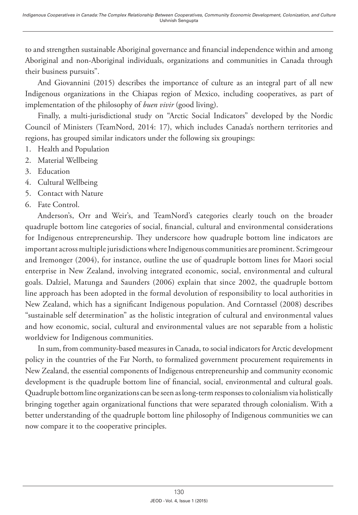to and strengthen sustainable Aboriginal governance and financial independence within and among Aboriginal and non-Aboriginal individuals, organizations and communities in Canada through their business pursuits".

And Giovannini (2015) describes the importance of culture as an integral part of all new Indigenous organizations in the Chiapas region of Mexico, including cooperatives, as part of implementation of the philosophy of *buen vivir* (good living).

Finally, a multi-jurisdictional study on "Arctic Social Indicators" developed by the Nordic Council of Ministers (TeamNord, 2014: 17), which includes Canada's northern territories and regions, has grouped similar indicators under the following six groupings:

- 1. Health and Population
- 2. Material Wellbeing
- 3. Education
- 4. Cultural Wellbeing
- 5. Contact with Nature
- 6. Fate Control.

Anderson's, Orr and Weir's, and TeamNord's categories clearly touch on the broader quadruple bottom line categories of social, financial, cultural and environmental considerations for Indigenous entrepreneurship. They underscore how quadruple bottom line indicators are important across multiple jurisdictions where Indigenous communities are prominent. Scrimgeour and Iremonger (2004), for instance, outline the use of quadruple bottom lines for Maori social enterprise in New Zealand, involving integrated economic, social, environmental and cultural goals. Dalziel, Matunga and Saunders (2006) explain that since 2002, the quadruple bottom line approach has been adopted in the formal devolution of responsibility to local authorities in New Zealand, which has a significant Indigenous population. And Corntassel (2008) describes "sustainable self determination" as the holistic integration of cultural and environmental values and how economic, social, cultural and environmental values are not separable from a holistic worldview for Indigenous communities.

In sum, from community-based measures in Canada, to social indicators for Arctic development policy in the countries of the Far North, to formalized government procurement requirements in New Zealand, the essential components of Indigenous entrepreneurship and community economic development is the quadruple bottom line of financial, social, environmental and cultural goals. Quadruple bottom line organizations can be seen as long-term responses to colonialism via holistically bringing together again organizational functions that were separated through colonialism. With a better understanding of the quadruple bottom line philosophy of Indigenous communities we can now compare it to the cooperative principles.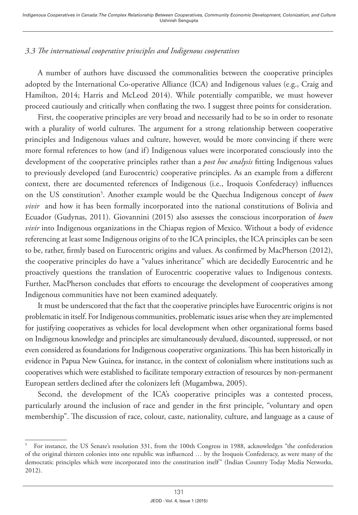## *3.3 The international cooperative principles and Indigenous cooperatives*

A number of authors have discussed the commonalities between the cooperative principles adopted by the International Co-operative Alliance (ICA) and Indigenous values (e.g., Craig and Hamilton, 2014; Harris and McLeod 2014). While potentially compatible, we must however proceed cautiously and critically when conflating the two. I suggest three points for consideration.

First, the cooperative principles are very broad and necessarily had to be so in order to resonate with a plurality of world cultures. The argument for a strong relationship between cooperative principles and Indigenous values and culture, however, would be more convincing if there were more formal references to how (and if) Indigenous values were incorporated consciously into the development of the cooperative principles rather than a *post hoc analysis* fitting Indigenous values to previously developed (and Eurocentric) cooperative principles. As an example from a different context, there are documented references of Indigenous (i.e., Iroquois Confederacy) influences on the US constitution<sup>5</sup>. Another example would be the Quechua Indigenous concept of *buen vivir*and how it has been formally incorporated into the national constitutions of Bolivia and Ecuador (Gudynas, 2011). Giovannini (2015) also assesses the conscious incorporation of *buen vivir* into Indigenous organizations in the Chiapas region of Mexico. Without a body of evidence referencing at least some Indigenous origins of to the ICA principles, the ICA principles can be seen to be, rather, firmly based on Eurocentric origins and values. As confirmed by MacPherson (2012), the cooperative principles do have a "values inheritance" which are decidedly Eurocentric and he proactively questions the translation of Eurocentric cooperative values to Indigenous contexts. Further, MacPherson concludes that efforts to encourage the development of cooperatives among Indigenous communities have not been examined adequately.

It must be underscored that the fact that the cooperative principles have Eurocentric origins is not problematic in itself. For Indigenous communities, problematic issues arise when they are implemented for justifying cooperatives as vehicles for local development when other organizational forms based on Indigenous knowledge and principles are simultaneously devalued, discounted, suppressed, or not even considered as foundations for Indigenous cooperative organizations. This has been historically in evidence in Papua New Guinea, for instance, in the context of colonialism where institutions such as cooperatives which were established to facilitate temporary extraction of resources by non-permanent European settlers declined after the colonizers left (Mugambwa, 2005).

Second, the development of the ICA's cooperative principles was a contested process, particularly around the inclusion of race and gender in the first principle, "voluntary and open membership". The discussion of race, colour, caste, nationality, culture, and language as a cause of

<sup>5</sup> For instance, the US Senate's resolution 331, from the 100th Congress in 1988, acknowledges "the confederation of the original thirteen colonies into one republic was influenced … by the Iroquois Confederacy, as were many of the democratic principles which were incorporated into the constitution itself" (Indian Country Today Media Networks, 2012).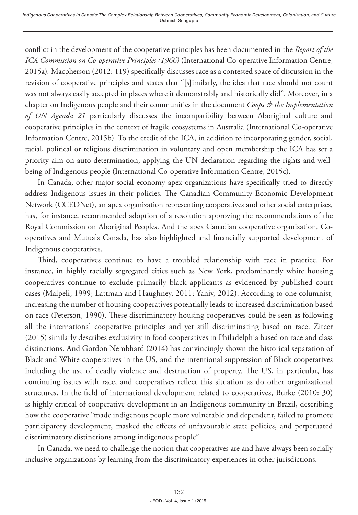conflict in the development of the cooperative principles has been documented in the *Report of the*  ICA Commission on Co-operative Principles (1966) (International Co-operative Information Centre, 2015a)*.* Macpherson (2012: 119) specifically discusses race as a contested space of discussion in the revision of cooperative principles and states that "[s]imilarly, the idea that race should not count was not always easily accepted in places where it demonstrably and historically did". Moreover, in a chapter on Indigenous people and their communities in the document *Coops & the Implementation of UN Agenda 21* particularly discusses the incompatibility between Aboriginal culture and cooperative principles in the context of fragile ecosystems in Australia (International Co-operative Information Centre, 2015b). To the credit of the ICA, in addition to incorporating gender, social, racial, political or religious discrimination in voluntary and open membership the ICA has set a priority aim on auto-determination, applying the UN declaration regarding the rights and wellbeing of Indigenous people (International Co-operative Information Centre, 2015c).

In Canada, other major social economy apex organizations have specifically tried to directly address Indigenous issues in their policies. The Canadian Community Economic Development Network (CCEDNet), an apex organization representing cooperatives and other social enterprises, has, for instance, recommended adoption of a resolution approving the recommendations of the Royal Commission on Aboriginal Peoples. And the apex Canadian cooperative organization, Cooperatives and Mutuals Canada, has also highlighted and financially supported development of Indigenous cooperatives.

Third, cooperatives continue to have a troubled relationship with race in practice. For instance, in highly racially segregated cities such as New York, predominantly white housing cooperatives continue to exclude primarily black applicants as evidenced by published court cases (Malpeli, 1999; Lattman and Haughney, 2011; Yaniv, 2012). According to one columnist, increasing the number of housing cooperatives potentially leads to increased discrimination based on race (Peterson, 1990). These discriminatory housing cooperatives could be seen as following all the international cooperative principles and yet still discriminating based on race. Zitcer (2015) similarly describes exclusivity in food cooperatives in Philadelphia based on race and class distinctions. And Gordon Nembhard (2014) has convincingly shown the historical separation of Black and White cooperatives in the US, and the intentional suppression of Black cooperatives including the use of deadly violence and destruction of property. The US, in particular, has continuing issues with race, and cooperatives reflect this situation as do other organizational structures. In the field of international development related to cooperatives, Burke (2010: 30) is highly critical of cooperative development in an Indigenous community in Brazil, describing how the cooperative "made indigenous people more vulnerable and dependent, failed to promote participatory development, masked the effects of unfavourable state policies, and perpetuated discriminatory distinctions among indigenous people".

In Canada, we need to challenge the notion that cooperatives are and have always been socially inclusive organizations by learning from the discriminatory experiences in other jurisdictions.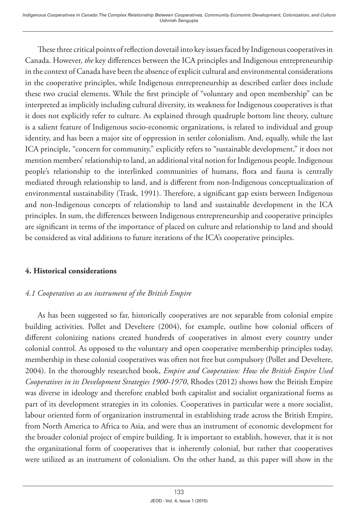These three critical points of reflection dovetail into key issues faced by Indigenous cooperatives in Canada. However, *the* key differences between the ICA principles and Indigenous entrepreneurship in the context of Canada have been the absence of explicit cultural and environmental considerations in the cooperative principles, while Indigenous entrepreneurship as described earlier does include these two crucial elements. While the first principle of "voluntary and open membership" can be interpreted as implicitly including cultural diversity, its weakness for Indigenous cooperatives is that it does not explicitly refer to culture. As explained through quadruple bottom line theory, culture is a salient feature of Indigenous socio-economic organizations, is related to individual and group identity, and has been a major site of oppression in settler colonialism. And, equally, while the last ICA principle, "concern for community," explicitly refers to "sustainable development," it does not mention members' relationship to land, an additional vital notion for Indigenous people. Indigenous people's relationship to the interlinked communities of humans, flora and fauna is centrally mediated through relationship to land, and is different from non-Indigenous conceptualization of environmental sustainability (Trask, 1991). Therefore, a significant gap exists between Indigenous and non-Indigenous concepts of relationship to land and sustainable development in the ICA principles. In sum, the differences between Indigenous entrepreneurship and cooperative principles are significant in terms of the importance of placed on culture and relationship to land and should be considered as vital additions to future iterations of the ICA's cooperative principles.

#### **4. Historical considerations**

#### *4.1 Cooperatives as an instrument of the British Empire*

As has been suggested so far, historically cooperatives are not separable from colonial empire building activities. Pollet and Develtere (2004), for example, outline how colonial officers of different colonizing nations created hundreds of cooperatives in almost every country under colonial control. As opposed to the voluntary and open cooperative membership principles today, membership in these colonial cooperatives was often not free but compulsory (Pollet and Develtere, 2004). In the thoroughly researched book, *Empire and Cooperation: How the British Empire Used Cooperatives in its Development Strategies 1900-1970*, Rhodes (2012) shows how the British Empire was diverse in ideology and therefore enabled both capitalist and socialist organizational forms as part of its development strategies in its colonies. Cooperatives in particular were a more socialist, labour oriented form of organization instrumental in establishing trade across the British Empire, from North America to Africa to Asia, and were thus an instrument of economic development for the broader colonial project of empire building. It is important to establish, however, that it is not the organizational form of cooperatives that is inherently colonial, but rather that cooperatives were utilized as an instrument of colonialism. On the other hand, as this paper will show in the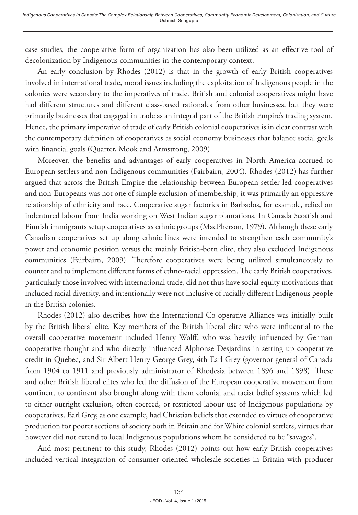case studies, the cooperative form of organization has also been utilized as an effective tool of decolonization by Indigenous communities in the contemporary context.

An early conclusion by Rhodes (2012) is that in the growth of early British cooperatives involved in international trade, moral issues including the exploitation of Indigenous people in the colonies were secondary to the imperatives of trade. British and colonial cooperatives might have had different structures and different class-based rationales from other businesses, but they were primarily businesses that engaged in trade as an integral part of the British Empire's trading system. Hence, the primary imperative of trade of early British colonial cooperatives is in clear contrast with the contemporary definition of cooperatives as social economy businesses that balance social goals with financial goals (Quarter, Mook and Armstrong, 2009).

Moreover, the benefits and advantages of early cooperatives in North America accrued to European settlers and non-Indigenous communities (Fairbairn, 2004). Rhodes (2012) has further argued that across the British Empire the relationship between European settler-led cooperatives and non-Europeans was not one of simple exclusion of membership, it was primarily an oppressive relationship of ethnicity and race. Cooperative sugar factories in Barbados, for example, relied on indentured labour from India working on West Indian sugar plantations. In Canada Scottish and Finnish immigrants setup cooperatives as ethnic groups (MacPherson, 1979). Although these early Canadian cooperatives set up along ethnic lines were intended to strengthen each community's power and economic position versus the mainly British-born elite, they also excluded Indigenous communities (Fairbairn, 2009). Therefore cooperatives were being utilized simultaneously to counter and to implement different forms of ethno-racial oppression. The early British cooperatives, particularly those involved with international trade, did not thus have social equity motivations that included racial diversity, and intentionally were not inclusive of racially different Indigenous people in the British colonies.

Rhodes (2012) also describes how the International Co-operative Alliance was initially built by the British liberal elite. Key members of the British liberal elite who were influential to the overall cooperative movement included Henry Wolff, who was heavily influenced by German cooperative thought and who directly influenced Alphonse Desjardins in setting up cooperative credit in Quebec, and Sir Albert Henry George Grey, 4th Earl Grey (governor general of Canada from 1904 to 1911 and previously administrator of Rhodesia between 1896 and 1898). These and other British liberal elites who led the diffusion of the European cooperative movement from continent to continent also brought along with them colonial and racist belief systems which led to either outright exclusion, often coerced, or restricted labour use of Indigenous populations by cooperatives. Earl Grey, as one example, had Christian beliefs that extended to virtues of cooperative production for poorer sections of society both in Britain and for White colonial settlers, virtues that however did not extend to local Indigenous populations whom he considered to be "savages".

And most pertinent to this study, Rhodes (2012) points out how early British cooperatives included vertical integration of consumer oriented wholesale societies in Britain with producer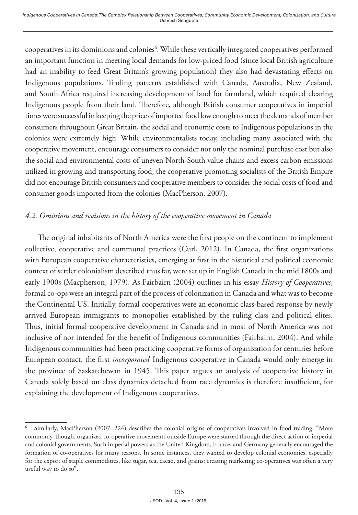cooperatives in its dominions and colonies<sup>6</sup>. While these vertically integrated cooperatives performed an important function in meeting local demands for low-priced food (since local British agriculture had an inability to feed Great Britain's growing population) they also had devastating effects on Indigenous populations. Trading patterns established with Canada, Australia, New Zealand, and South Africa required increasing development of land for farmland, which required clearing Indigenous people from their land. Therefore, although British consumer cooperatives in imperial times were successful in keeping the price of imported food low enough to meet the demands of member consumers throughout Great Britain, the social and economic costs to Indigenous populations in the colonies were extremely high. While environmentalists today, including many associated with the cooperative movement, encourage consumers to consider not only the nominal purchase cost but also the social and environmental costs of uneven North-South value chains and excess carbon emissions utilized in growing and transporting food, the cooperative-promoting socialists of the British Empire did not encourage British consumers and cooperative members to consider the social costs of food and consumer goods imported from the colonies (MacPherson, 2007).

#### *4.2. Omissions and revisions in the history of the cooperative movement in Canada*

The original inhabitants of North America were the first people on the continent to implement collective, cooperative and communal practices (Curl, 2012). In Canada, the first organizations with European cooperative characteristics, emerging at first in the historical and political economic context of settler colonialism described thus far, were set up in English Canada in the mid 1800s and early 1900s (Macpherson, 1979). As Fairbairn (2004) outlines in his essay *History of Cooperatives*, formal co-ops were an integral part of the process of colonization in Canada and what was to become the Continental US. Initially, formal cooperatives were an economic class-based response by newly arrived European immigrants to monopolies established by the ruling class and political elites. Thus, initial formal cooperative development in Canada and in most of North America was not inclusive of nor intended for the benefit of Indigenous communities (Fairbairn, 2004). And while Indigenous communities had been practicing cooperative forms of organization for centuries before European contact, the first *incorporated* Indigenous cooperative in Canada would only emerge in the province of Saskatchewan in 1945. This paper argues an analysis of cooperative history in Canada solely based on class dynamics detached from race dynamics is therefore insufficient, for explaining the development of Indigenous cooperatives.

<sup>6</sup> Similarly, MacPherson (2007: 224) describes the colonial origins of cooperatives involved in food trading: "More commonly, though, organized co-operative movements outside Europe were started through the direct action of imperial and colonial governments. Such imperial powers as the United Kingdom, France, and Germany generally encouraged the formation of co-operatives for many reasons. In some instances, they wanted to develop colonial economies, especially for the export of staple commodities, like sugar, tea, cacao, and grains: creating marketing co-operatives was often a very useful way to do so".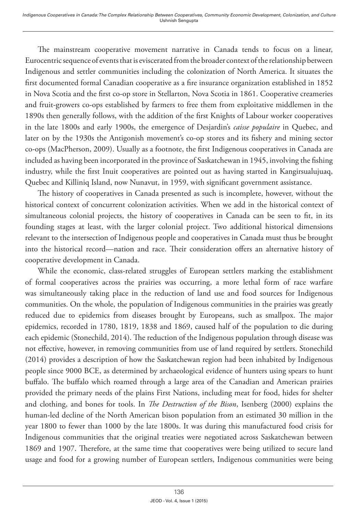The mainstream cooperative movement narrative in Canada tends to focus on a linear, Eurocentric sequence of events that is eviscerated from the broader context of the relationship between Indigenous and settler communities including the colonization of North America. It situates the first documented formal Canadian cooperative as a fire insurance organization established in 1852 in Nova Scotia and the first co-op store in Stellarton, Nova Scotia in 1861. Cooperative creameries and fruit-growers co-ops established by farmers to free them from exploitative middlemen in the 1890s then generally follows, with the addition of the first Knights of Labour worker cooperatives in the late 1800s and early 1900s, the emergence of Desjardin's *caisse populaire* in Quebec, and later on by the 1930s the Antigonish movement's co-op stores and its fishery and mining sector co-ops (MacPherson, 2009). Usually as a footnote, the first Indigenous cooperatives in Canada are included as having been incorporated in the province of Saskatchewan in 1945, involving the fishing industry, while the first Inuit cooperatives are pointed out as having started in Kangirsualujuaq, Quebec and Killiniq Island, now Nunavut, in 1959, with significant government assistance.

The history of cooperatives in Canada presented as such is incomplete, however, without the historical context of concurrent colonization activities. When we add in the historical context of simultaneous colonial projects, the history of cooperatives in Canada can be seen to fit, in its founding stages at least, with the larger colonial project. Two additional historical dimensions relevant to the intersection of Indigenous people and cooperatives in Canada must thus be brought into the historical record—nation and race. Their consideration offers an alternative history of cooperative development in Canada.

While the economic, class-related struggles of European settlers marking the establishment of formal cooperatives across the prairies was occurring, a more lethal form of race warfare was simultaneously taking place in the reduction of land use and food sources for Indigenous communities. On the whole, the population of Indigenous communities in the prairies was greatly reduced due to epidemics from diseases brought by Europeans, such as smallpox. The major epidemics, recorded in 1780, 1819, 1838 and 1869, caused half of the population to die during each epidemic (Stonechild, 2014). The reduction of the Indigenous population through disease was not effective, however, in removing communities from use of land required by settlers. Stonechild (2014) provides a description of how the Saskatchewan region had been inhabited by Indigenous people since 9000 BCE, as determined by archaeological evidence of hunters using spears to hunt buffalo. The buffalo which roamed through a large area of the Canadian and American prairies provided the primary needs of the plains First Nations, including meat for food, hides for shelter and clothing, and bones for tools. In *The Destruction of the Bison*, Isenberg (2000) explains the human-led decline of the North American bison population from an estimated 30 million in the year 1800 to fewer than 1000 by the late 1800s. It was during this manufactured food crisis for Indigenous communities that the original treaties were negotiated across Saskatchewan between 1869 and 1907. Therefore, at the same time that cooperatives were being utilized to secure land usage and food for a growing number of European settlers, Indigenous communities were being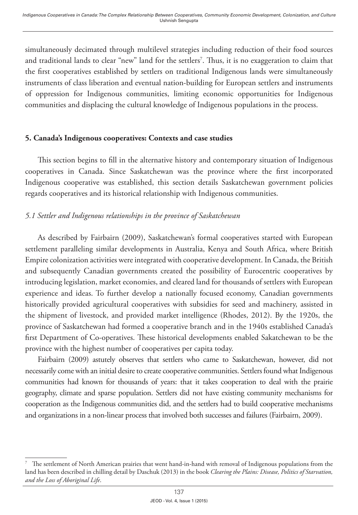simultaneously decimated through multilevel strategies including reduction of their food sources and traditional lands to clear "new" land for the settlers7 . Thus, it is no exaggeration to claim that the first cooperatives established by settlers on traditional Indigenous lands were simultaneously instruments of class liberation and eventual nation-building for European settlers and instruments of oppression for Indigenous communities, limiting economic opportunities for Indigenous communities and displacing the cultural knowledge of Indigenous populations in the process.

#### **5. Canada's Indigenous cooperatives: Contexts and case studies**

This section begins to fill in the alternative history and contemporary situation of Indigenous cooperatives in Canada. Since Saskatchewan was the province where the first incorporated Indigenous cooperative was established, this section details Saskatchewan government policies regards cooperatives and its historical relationship with Indigenous communities.

# *5.1 Settler and Indigenous relationships in the province of Saskatchewan*

As described by Fairbairn (2009), Saskatchewan's formal cooperatives started with European settlement paralleling similar developments in Australia, Kenya and South Africa, where British Empire colonization activities were integrated with cooperative development. In Canada, the British and subsequently Canadian governments created the possibility of Eurocentric cooperatives by introducing legislation, market economies, and cleared land for thousands of settlers with European experience and ideas. To further develop a nationally focused economy, Canadian governments historically provided agricultural cooperatives with subsidies for seed and machinery, assisted in the shipment of livestock, and provided market intelligence (Rhodes, 2012). By the 1920s, the province of Saskatchewan had formed a cooperative branch and in the 1940s established Canada's first Department of Co-operatives. These historical developments enabled Sakatchewan to be the province with the highest number of cooperatives per capita today.

Fairbairn (2009) astutely observes that settlers who came to Saskatchewan, however, did not necessarily come with an initial desire to create cooperative communities. Settlers found what Indigenous communities had known for thousands of years: that it takes cooperation to deal with the prairie geography, climate and sparse population. Settlers did not have existing community mechanisms for cooperation as the Indigenous communities did, and the settlers had to build cooperative mechanisms and organizations in a non-linear process that involved both successes and failures (Fairbairn, 2009).

<sup>7</sup> The settlement of North American prairies that went hand-in-hand with removal of Indigenous populations from the land has been described in chilling detail by Daschuk (2013) in the book *Clearing the Plains: Disease, Politics of Starvation, and the Loss of Aboriginal Life*.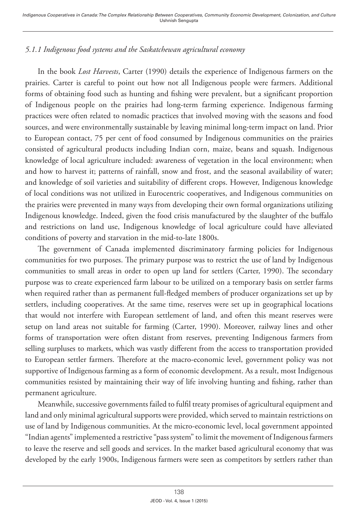# *5.1.1 Indigenous food systems and the Saskatchewan agricultural economy*

In the book *Lost Harvests*, Carter (1990) details the experience of Indigenous farmers on the prairies. Carter is careful to point out how not all Indigenous people were farmers. Additional forms of obtaining food such as hunting and fishing were prevalent, but a significant proportion of Indigenous people on the prairies had long-term farming experience. Indigenous farming practices were often related to nomadic practices that involved moving with the seasons and food sources, and were environmentally sustainable by leaving minimal long-term impact on land. Prior to European contact, 75 per cent of food consumed by Indigenous communities on the prairies consisted of agricultural products including Indian corn, maize, beans and squash. Indigenous knowledge of local agriculture included: awareness of vegetation in the local environment; when and how to harvest it; patterns of rainfall, snow and frost, and the seasonal availability of water; and knowledge of soil varieties and suitability of different crops. However, Indigenous knowledge of local conditions was not utilized in Eurocentric cooperatives, and Indigenous communities on the prairies were prevented in many ways from developing their own formal organizations utilizing Indigenous knowledge. Indeed, given the food crisis manufactured by the slaughter of the buffalo and restrictions on land use, Indigenous knowledge of local agriculture could have alleviated conditions of poverty and starvation in the mid-to-late 1800s.

The government of Canada implemented discriminatory farming policies for Indigenous communities for two purposes. The primary purpose was to restrict the use of land by Indigenous communities to small areas in order to open up land for settlers (Carter, 1990). The secondary purpose was to create experienced farm labour to be utilized on a temporary basis on settler farms when required rather than as permanent full-fledged members of producer organizations set up by settlers, including cooperatives. At the same time, reserves were set up in geographical locations that would not interfere with European settlement of land, and often this meant reserves were setup on land areas not suitable for farming (Carter, 1990). Moreover, railway lines and other forms of transportation were often distant from reserves, preventing Indigenous farmers from selling surpluses to markets, which was vastly different from the access to transportation provided to European settler farmers. Therefore at the macro-economic level, government policy was not supportive of Indigenous farming as a form of economic development. As a result, most Indigenous communities resisted by maintaining their way of life involving hunting and fishing, rather than permanent agriculture.

Meanwhile, successive governments failed to fulfil treaty promises of agricultural equipment and land and only minimal agricultural supports were provided, which served to maintain restrictions on use of land by Indigenous communities. At the micro-economic level, local government appointed "Indian agents" implemented a restrictive "pass system" to limit the movement of Indigenous farmers to leave the reserve and sell goods and services. In the market based agricultural economy that was developed by the early 1900s, Indigenous farmers were seen as competitors by settlers rather than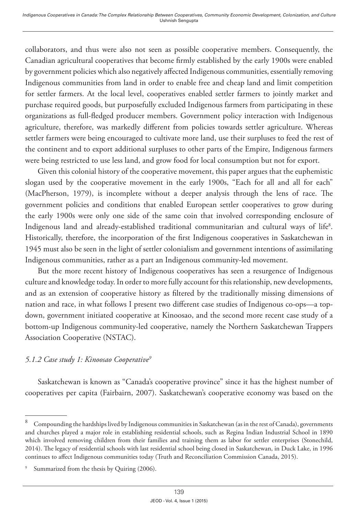collaborators, and thus were also not seen as possible cooperative members. Consequently, the Canadian agricultural cooperatives that become firmly established by the early 1900s were enabled by government policies which also negatively affected Indigenous communities, essentially removing Indigenous communities from land in order to enable free and cheap land and limit competition for settler farmers. At the local level, cooperatives enabled settler farmers to jointly market and purchase required goods, but purposefully excluded Indigenous farmers from participating in these organizations as full-fledged producer members. Government policy interaction with Indigenous agriculture, therefore, was markedly different from policies towards settler agriculture. Whereas settler farmers were being encouraged to cultivate more land, use their surpluses to feed the rest of the continent and to export additional surpluses to other parts of the Empire, Indigenous farmers were being restricted to use less land, and grow food for local consumption but not for export.

Given this colonial history of the cooperative movement, this paper argues that the euphemistic slogan used by the cooperative movement in the early 1900s, "Each for all and all for each" (MacPherson, 1979), is incomplete without a deeper analysis through the lens of race. The government policies and conditions that enabled European settler cooperatives to grow during the early 1900s were only one side of the same coin that involved corresponding enclosure of Indigenous land and already-established traditional communitarian and cultural ways of life<sup>8</sup>. Historically, therefore, the incorporation of the first Indigenous cooperatives in Saskatchewan in 1945 must also be seen in the light of settler colonialism and government intentions of assimilating Indigenous communities, rather as a part an Indigenous community-led movement.

But the more recent history of Indigenous cooperatives has seen a resurgence of Indigenous culture and knowledge today. In order to more fully account for this relationship, new developments, and as an extension of cooperative history as filtered by the traditionally missing dimensions of nation and race, in what follows I present two different case studies of Indigenous co-ops—a topdown, government initiated cooperative at Kinoosao, and the second more recent case study of a bottom-up Indigenous community-led cooperative, namely the Northern Saskatchewan Trappers Association Cooperative (NSTAC).

#### *5.1.2 Case study 1: Kinoosao Cooperative9*

Saskatchewan is known as "Canada's cooperative province" since it has the highest number of cooperatives per capita (Fairbairn, 2007). Saskatchewan's cooperative economy was based on the

<sup>8</sup> Compounding the hardships lived by Indigenous communities in Saskatchewan (as in the rest of Canada), governments and churches played a major role in establishing residential schools, such as Regina Indian Industrial School in 1890 which involved removing children from their families and training them as labor for settler enterprises (Stonechild, 2014). The legacy of residential schools with last residential school being closed in Saskatchewan, in Duck Lake, in 1996 continues to affect Indigenous communities today (Truth and Reconciliation Commission Canada, 2015).

<sup>9</sup> Summarized from the thesis by Quiring (2006).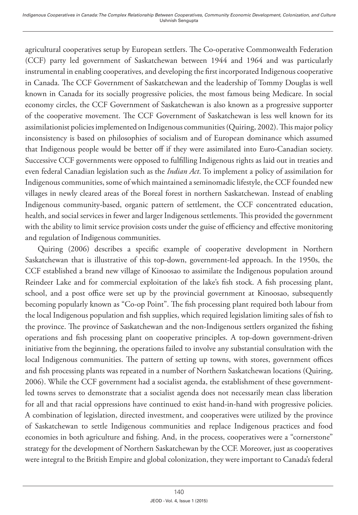agricultural cooperatives setup by European settlers. The Co-operative Commonwealth Federation (CCF) party led government of Saskatchewan between 1944 and 1964 and was particularly instrumental in enabling cooperatives, and developing the first incorporated Indigenous cooperative in Canada. The CCF Government of Saskatchewan and the leadership of Tommy Douglas is well known in Canada for its socially progressive policies, the most famous being Medicare. In social economy circles, the CCF Government of Saskatchewan is also known as a progressive supporter of the cooperative movement. The CCF Government of Saskatchewan is less well known for its assimilationist policies implemented on Indigenous communities (Quiring, 2002). This major policy inconsistency is based on philosophies of socialism and of European dominance which assumed that Indigenous people would be better off if they were assimilated into Euro-Canadian society. Successive CCF governments were opposed to fulfilling Indigenous rights as laid out in treaties and even federal Canadian legislation such as the *Indian Act*. To implement a policy of assimilation for Indigenous communities, some of which maintained a seminomadic lifestyle, the CCF founded new villages in newly cleared areas of the Boreal forest in northern Saskatchewan. Instead of enabling Indigenous community-based, organic pattern of settlement, the CCF concentrated education, health, and social services in fewer and larger Indigenous settlements. This provided the government with the ability to limit service provision costs under the guise of efficiency and effective monitoring and regulation of Indigenous communities.

Quiring (2006) describes a specific example of cooperative development in Northern Saskatchewan that is illustrative of this top-down, government-led approach. In the 1950s, the CCF established a brand new village of Kinoosao to assimilate the Indigenous population around Reindeer Lake and for commercial exploitation of the lake's fish stock. A fish processing plant, school, and a post office were set up by the provincial government at Kinoosao, subsequently becoming popularly known as "Co-op Point". The fish processing plant required both labour from the local Indigenous population and fish supplies, which required legislation limiting sales of fish to the province. The province of Saskatchewan and the non-Indigenous settlers organized the fishing operations and fish processing plant on cooperative principles. A top-down government-driven initiative from the beginning, the operations failed to involve any substantial consultation with the local Indigenous communities. The pattern of setting up towns, with stores, government offices and fish processing plants was repeated in a number of Northern Saskatchewan locations (Quiring, 2006). While the CCF government had a socialist agenda, the establishment of these governmentled towns serves to demonstrate that a socialist agenda does not necessarily mean class liberation for all and that racial oppressions have continued to exist hand-in-hand with progressive policies. A combination of legislation, directed investment, and cooperatives were utilized by the province of Saskatchewan to settle Indigenous communities and replace Indigenous practices and food economies in both agriculture and fishing. And, in the process, cooperatives were a "cornerstone" strategy for the development of Northern Saskatchewan by the CCF. Moreover, just as cooperatives were integral to the British Empire and global colonization, they were important to Canada's federal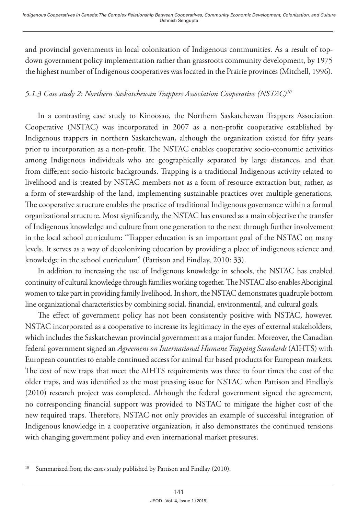and provincial governments in local colonization of Indigenous communities. As a result of topdown government policy implementation rather than grassroots community development, by 1975 the highest number of Indigenous cooperatives was located in the Prairie provinces (Mitchell, 1996).

# *5.1.3 Case study 2: Northern Saskatchewan Trappers Association Cooperative (NSTAC)10*

In a contrasting case study to Kinoosao, the Northern Saskatchewan Trappers Association Cooperative (NSTAC) was incorporated in 2007 as a non-profit cooperative established by Indigenous trappers in northern Saskatchewan, although the organization existed for fifty years prior to incorporation as a non-profit. The NSTAC enables cooperative socio-economic activities among Indigenous individuals who are geographically separated by large distances, and that from different socio-historic backgrounds. Trapping is a traditional Indigenous activity related to livelihood and is treated by NSTAC members not as a form of resource extraction but, rather, as a form of stewardship of the land, implementing sustainable practices over multiple generations. The cooperative structure enables the practice of traditional Indigenous governance within a formal organizational structure. Most significantly, the NSTAC has ensured as a main objective the transfer of Indigenous knowledge and culture from one generation to the next through further involvement in the local school curriculum: "Trapper education is an important goal of the NSTAC on many levels. It serves as a way of decolonizing education by providing a place of indigenous science and knowledge in the school curriculum" (Pattison and Findlay, 2010: 33).

In addition to increasing the use of Indigenous knowledge in schools, the NSTAC has enabled continuity of cultural knowledge through families working together. The NSTAC also enables Aboriginal women to take part in providing family livelihood. In short, the NSTAC demonstrates quadruple bottom line organizational characteristics by combining social, financial, environmental, and cultural goals.

The effect of government policy has not been consistently positive with NSTAC, however. NSTAC incorporated as a cooperative to increase its legitimacy in the eyes of external stakeholders, which includes the Saskatchewan provincial government as a major funder. Moreover, the Canadian federal government signed an *Agreement on International Humane Trapping Standards* (AIHTS) with European countries to enable continued access for animal fur based products for European markets. The cost of new traps that meet the AIHTS requirements was three to four times the cost of the older traps, and was identified as the most pressing issue for NSTAC when Pattison and Findlay's (2010) research project was completed. Although the federal government signed the agreement, no corresponding financial support was provided to NSTAC to mitigate the higher cost of the new required traps. Therefore, NSTAC not only provides an example of successful integration of Indigenous knowledge in a cooperative organization, it also demonstrates the continued tensions with changing government policy and even international market pressures.

<sup>&</sup>lt;sup>10</sup> Summarized from the cases study published by Pattison and Findlay (2010).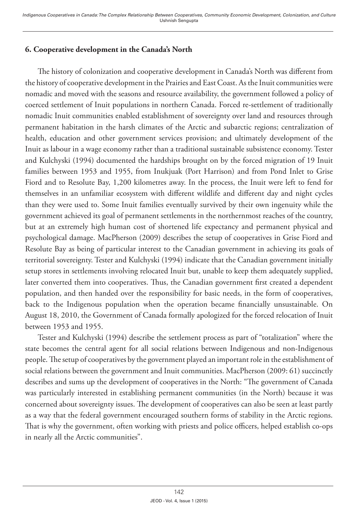# **6. Cooperative development in the Canada's North**

The history of colonization and cooperative development in Canada's North was different from the history of cooperative development in the Prairies and East Coast. As the Inuit communities were nomadic and moved with the seasons and resource availability, the government followed a policy of coerced settlement of Inuit populations in northern Canada. Forced re-settlement of traditionally nomadic Inuit communities enabled establishment of sovereignty over land and resources through permanent habitation in the harsh climates of the Arctic and subarctic regions; centralization of health, education and other government services provision; and ultimately development of the Inuit as labour in a wage economy rather than a traditional sustainable subsistence economy. Tester and Kulchyski (1994) documented the hardships brought on by the forced migration of 19 Inuit families between 1953 and 1955, from Inukjuak (Port Harrison) and from Pond Inlet to Grise Fiord and to Resolute Bay, 1,200 kilometres away. In the process, the Inuit were left to fend for themselves in an unfamiliar ecosystem with different wildlife and different day and night cycles than they were used to. Some Inuit families eventually survived by their own ingenuity while the government achieved its goal of permanent settlements in the northernmost reaches of the country, but at an extremely high human cost of shortened life expectancy and permanent physical and psychological damage. MacPherson (2009) describes the setup of cooperatives in Grise Fiord and Resolute Bay as being of particular interest to the Canadian government in achieving its goals of territorial sovereignty. Tester and Kulchyski (1994) indicate that the Canadian government initially setup stores in settlements involving relocated Inuit but, unable to keep them adequately supplied, later converted them into cooperatives. Thus, the Canadian government first created a dependent population, and then handed over the responsibility for basic needs, in the form of cooperatives, back to the Indigenous population when the operation became financially unsustainable. On August 18, 2010, the Government of Canada formally apologized for the forced relocation of Inuit between 1953 and 1955.

Tester and Kulchyski (1994) describe the settlement process as part of "totalization" where the state becomes the central agent for all social relations between Indigenous and non-Indigenous people. The setup of cooperatives by the government played an important role in the establishment of social relations between the government and Inuit communities. MacPherson (2009: 61) succinctly describes and sums up the development of cooperatives in the North: "The government of Canada was particularly interested in establishing permanent communities (in the North) because it was concerned about sovereignty issues. The development of cooperatives can also be seen at least partly as a way that the federal government encouraged southern forms of stability in the Arctic regions. That is why the government, often working with priests and police officers, helped establish co-ops in nearly all the Arctic communities".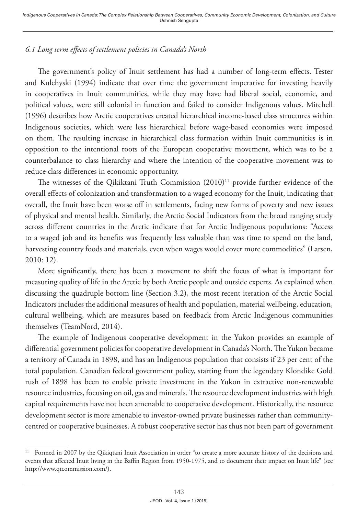# *6.1 Long term effects of settlement policies in Canada's North*

The government's policy of Inuit settlement has had a number of long-term effects. Tester and Kulchyski (1994) indicate that over time the government imperative for investing heavily in cooperatives in Inuit communities, while they may have had liberal social, economic, and political values, were still colonial in function and failed to consider Indigenous values. Mitchell (1996) describes how Arctic cooperatives created hierarchical income-based class structures within Indigenous societies, which were less hierarchical before wage-based economies were imposed on them. The resulting increase in hierarchical class formation within Inuit communities is in opposition to the intentional roots of the European cooperative movement, which was to be a counterbalance to class hierarchy and where the intention of the cooperative movement was to reduce class differences in economic opportunity.

The witnesses of the Qikiktani Truth Commission  $(2010)^{11}$  provide further evidence of the overall effects of colonization and transformation to a waged economy for the Inuit, indicating that overall, the Inuit have been worse off in settlements, facing new forms of poverty and new issues of physical and mental health. Similarly, the Arctic Social Indicators from the broad ranging study across different countries in the Arctic indicate that for Arctic Indigenous populations: "Access to a waged job and its benefits was frequently less valuable than was time to spend on the land, harvesting country foods and materials, even when wages would cover more commodities" (Larsen, 2010: 12).

More significantly, there has been a movement to shift the focus of what is important for measuring quality of life in the Arctic by both Arctic people and outside experts. As explained when discussing the quadruple bottom line (Section 3.2), the most recent iteration of the Arctic Social Indicators includes the additional measures of health and population, material wellbeing, education, cultural wellbeing, which are measures based on feedback from Arctic Indigenous communities themselves (TeamNord, 2014).

The example of Indigenous cooperative development in the Yukon provides an example of differential government policies for cooperative development in Canada's North. The Yukon became a territory of Canada in 1898, and has an Indigenous population that consists if 23 per cent of the total population. Canadian federal government policy, starting from the legendary Klondike Gold rush of 1898 has been to enable private investment in the Yukon in extractive non-renewable resource industries, focusing on oil, gas and minerals. The resource development industries with high capital requirements have not been amenable to cooperative development. Historically, the resource development sector is more amenable to investor-owned private businesses rather than communitycentred or cooperative businesses. A robust cooperative sector has thus not been part of government

<sup>&</sup>lt;sup>11</sup> Formed in 2007 by the Qikiqtani Inuit Association in order "to create a more accurate history of the decisions and events that affected Inuit living in the Baffin Region from 1950-1975, and to document their impact on Inuit life" (see <http://www.qtcommission.com/>).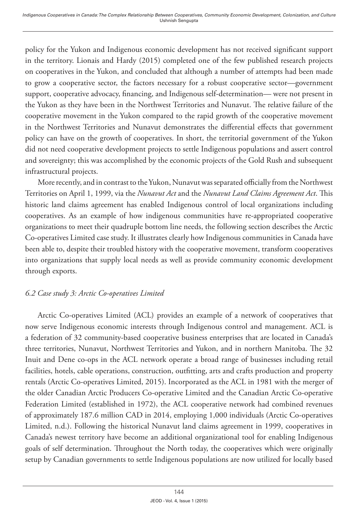policy for the Yukon and Indigenous economic development has not received significant support in the territory. Lionais and Hardy (2015) completed one of the few published research projects on cooperatives in the Yukon, and concluded that although a number of attempts had been made to grow a cooperative sector, the factors necessary for a robust cooperative sector—government support, cooperative advocacy, financing, and Indigenous self-determination— were not present in the Yukon as they have been in the Northwest Territories and Nunavut. The relative failure of the cooperative movement in the Yukon compared to the rapid growth of the cooperative movement in the Northwest Territories and Nunavut demonstrates the differential effects that government policy can have on the growth of cooperatives. In short, the territorial government of the Yukon did not need cooperative development projects to settle Indigenous populations and assert control and sovereignty; this was accomplished by the economic projects of the Gold Rush and subsequent infrastructural projects.

More recently, and in contrast to the Yukon, Nunavut was separated officially from the Northwest Territories on April 1, 1999, via the *Nunavut Act* and the *Nunavut Land Claims Agreement Act*. This historic land claims agreement has enabled Indigenous control of local organizations including cooperatives. As an example of how indigenous communities have re-appropriated cooperative organizations to meet their quadruple bottom line needs, the following section describes the Arctic Co-operatives Limited case study. It illustrates clearly how Indigenous communities in Canada have been able to, despite their troubled history with the cooperative movement, transform cooperatives into organizations that supply local needs as well as provide community economic development through exports.

#### *6.2 Case study 3: Arctic Co-operatives Limited*

Arctic Co-operatives Limited (ACL) provides an example of a network of cooperatives that now serve Indigenous economic interests through Indigenous control and management. ACL is a federation of 32 community-based cooperative business enterprises that are located in Canada's three territories, Nunavut, Northwest Territories and Yukon, and in northern Manitoba. The 32 Inuit and Dene co-ops in the ACL network operate a broad range of businesses including retail facilities, hotels, cable operations, construction, outfitting, arts and crafts production and property rentals (Arctic Co-operatives Limited, 2015). Incorporated as the ACL in 1981 with the merger of the older Canadian Arctic Producers Co-operative Limited and the Canadian Arctic Co-operative Federation Limited (established in 1972), the ACL cooperative network had combined revenues of approximately 187.6 million CAD in 2014, employing 1,000 individuals (Arctic Co-operatives Limited, n.d.). Following the historical Nunavut land claims agreement in 1999, cooperatives in Canada's newest territory have become an additional organizational tool for enabling Indigenous goals of self determination. Throughout the North today, the cooperatives which were originally setup by Canadian governments to settle Indigenous populations are now utilized for locally based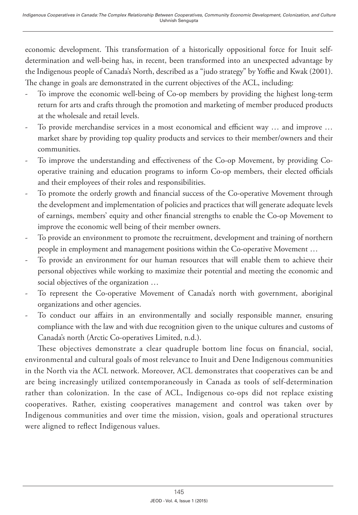economic development. This transformation of a historically oppositional force for Inuit selfdetermination and well-being has, in recent, been transformed into an unexpected advantage by the Indigenous people of Canada's North, described as a "judo strategy" by Yoffie and Kwak (2001). The change in goals are demonstrated in the current objectives of the ACL, including:

- To improve the economic well-being of Co-op members by providing the highest long-term return for arts and crafts through the promotion and marketing of member produced products at the wholesale and retail levels.
- To provide merchandise services in a most economical and efficient way … and improve … market share by providing top quality products and services to their member/owners and their communities.
- To improve the understanding and effectiveness of the Co-op Movement, by providing Cooperative training and education programs to inform Co-op members, their elected officials and their employees of their roles and responsibilities.
- To promote the orderly growth and financial success of the Co-operative Movement through the development and implementation of policies and practices that will generate adequate levels of earnings, members' equity and other financial strengths to enable the Co-op Movement to improve the economic well being of their member owners.
- To provide an environment to promote the recruitment, development and training of northern people in employment and management positions within the Co-operative Movement …
- To provide an environment for our human resources that will enable them to achieve their personal objectives while working to maximize their potential and meeting the economic and social objectives of the organization …
- To represent the Co-operative Movement of Canada's north with government, aboriginal organizations and other agencies.
- To conduct our affairs in an environmentally and socially responsible manner, ensuring compliance with the law and with due recognition given to the unique cultures and customs of Canada's north (Arctic Co-operatives Limited, n.d.).

These objectives demonstrate a clear quadruple bottom line focus on financial, social, environmental and cultural goals of most relevance to Inuit and Dene Indigenous communities in the North via the ACL network. Moreover, ACL demonstrates that cooperatives can be and are being increasingly utilized contemporaneously in Canada as tools of self-determination rather than colonization. In the case of ACL, Indigenous co-ops did not replace existing cooperatives. Rather, existing cooperatives management and control was taken over by Indigenous communities and over time the mission, vision, goals and operational structures were aligned to reflect Indigenous values.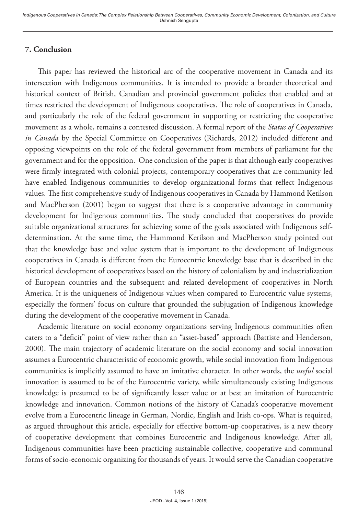# **7. Conclusion**

This paper has reviewed the historical arc of the cooperative movement in Canada and its intersection with Indigenous communities. It is intended to provide a broader theoretical and historical context of British, Canadian and provincial government policies that enabled and at times restricted the development of Indigenous cooperatives. The role of cooperatives in Canada, and particularly the role of the federal government in supporting or restricting the cooperative movement as a whole, remains a contested discussion. A formal report of the *Status of Cooperatives in Canada* by the Special Committee on Cooperatives (Richards, 2012) included different and opposing viewpoints on the role of the federal government from members of parliament for the government and for the opposition. One conclusion of the paper is that although early cooperatives were firmly integrated with colonial projects, contemporary cooperatives that are community led have enabled Indigenous communities to develop organizational forms that reflect Indigenous values. The first comprehensive study of Indigenous cooperatives in Canada by Hammond Ketilson and MacPherson (2001) began to suggest that there is a cooperative advantage in community development for Indigenous communities. The study concluded that cooperatives do provide suitable organizational structures for achieving some of the goals associated with Indigenous selfdetermination. At the same time, the Hammond Ketilson and MacPherson study pointed out that the knowledge base and value system that is important to the development of Indigenous cooperatives in Canada is different from the Eurocentric knowledge base that is described in the historical development of cooperatives based on the history of colonialism by and industrialization of European countries and the subsequent and related development of cooperatives in North America. It is the uniqueness of Indigenous values when compared to Eurocentric value systems, especially the formers' focus on culture that grounded the subjugation of Indigenous knowledge during the development of the cooperative movement in Canada.

Academic literature on social economy organizations serving Indigenous communities often caters to a "deficit" point of view rather than an "asset-based" approach (Battiste and Henderson, 2000). The main trajectory of academic literature on the social economy and social innovation assumes a Eurocentric characteristic of economic growth, while social innovation from Indigenous communities is implicitly assumed to have an imitative character. In other words, the *useful* social innovation is assumed to be of the Eurocentric variety, while simultaneously existing Indigenous knowledge is presumed to be of significantly lesser value or at best an imitation of Eurocentric knowledge and innovation. Common notions of the history of Canada's cooperative movement evolve from a Eurocentric lineage in German, Nordic, English and Irish co-ops. What is required, as argued throughout this article, especially for effective bottom-up cooperatives, is a new theory of cooperative development that combines Eurocentric and Indigenous knowledge. After all, Indigenous communities have been practicing sustainable collective, cooperative and communal forms of socio-economic organizing for thousands of years. It would serve the Canadian cooperative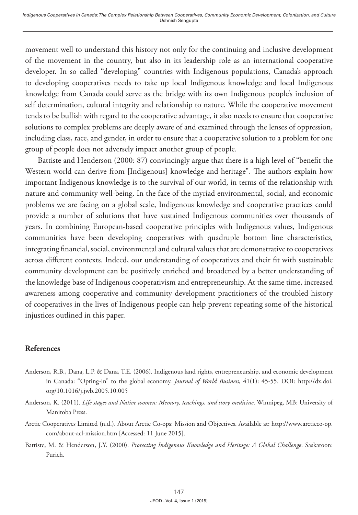movement well to understand this history not only for the continuing and inclusive development of the movement in the country, but also in its leadership role as an international cooperative developer. In so called "developing" countries with Indigenous populations, Canada's approach to developing cooperatives needs to take up local Indigenous knowledge and local Indigenous knowledge from Canada could serve as the bridge with its own Indigenous people's inclusion of self determination, cultural integrity and relationship to nature. While the cooperative movement tends to be bullish with regard to the cooperative advantage, it also needs to ensure that cooperative solutions to complex problems are deeply aware of and examined through the lenses of oppression, including class, race, and gender, in order to ensure that a cooperative solution to a problem for one group of people does not adversely impact another group of people.

Battiste and Henderson (2000: 87) convincingly argue that there is a high level of "benefit the Western world can derive from [Indigenous] knowledge and heritage". The authors explain how important Indigenous knowledge is to the survival of our world, in terms of the relationship with nature and community well-being. In the face of the myriad environmental, social, and economic problems we are facing on a global scale, Indigenous knowledge and cooperative practices could provide a number of solutions that have sustained Indigenous communities over thousands of years. In combining European-based cooperative principles with Indigenous values, Indigenous communities have been developing cooperatives with quadruple bottom line characteristics, integrating financial, social, environmental and cultural values that are demonstrative to cooperatives across different contexts. Indeed, our understanding of cooperatives and their fit with sustainable community development can be positively enriched and broadened by a better understanding of the knowledge base of Indigenous cooperativism and entrepreneurship. At the same time, increased awareness among cooperative and community development practitioners of the troubled history of cooperatives in the lives of Indigenous people can help prevent repeating some of the historical injustices outlined in this paper.

#### **References**

- Anderson, R.B., Dana, L.P. & Dana, T.E. (2006). Indigenous land rights, entrepreneurship, and economic development in Canada: "Opting-in" to the global economy. *Journal of World Business*, 41(1): 45-55. DOI: [http://dx.doi.](http://dx.doi.org/10.1016/j.jwb.2005.10.005) [org/10.1016/j.jwb.2005.10.005](http://dx.doi.org/10.1016/j.jwb.2005.10.005)
- Anderson, K. (2011). *Life stages and Native women: Memory, teachings, and story medicine*. Winnipeg, MB: University of Manitoba Press.
- Arctic Cooperatives Limited (n.d.). About Arctic Co-ops: Mission and Objectives. Available at: http://www.arcticco-op. com/about-acl-mission.htm [Accessed: 11 June 2015].
- Battiste, M. & Henderson, J.Y. (2000). *Protecting Indigenous Knowledge and Heritage: A Global Challenge*. Saskatoon: Purich.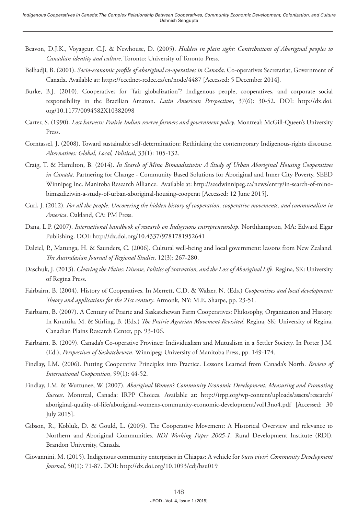- Beavon, D.J.K., Voyageur, C.J. & Newhouse, D. (2005). *Hidden in plain sight: Contributions of Aboriginal peoples to Canadian identity and culture*. Toronto: University of Toronto Press.
- Belhadji, B. (2001). *Socio-economic profile of aboriginal co-operatives in Canada*. Co-operatives Secretariat, Government of Canada. Available at: <https://ccednet-rcdec.ca/en/node/4487>[Accessed: 5 December 2014].
- Burke, B.J. (2010). Cooperatives for "fair globalization"? Indigenous people, cooperatives, and corporate social responsibility in the Brazilian Amazon. *Latin American Perspectives*, 37(6): 30-52. DOI: [http://dx.doi.](http://dx.doi.org/10.1177/0094582X10382098) [org/10.1177/0094582X10382098](http://dx.doi.org/10.1177/0094582X10382098)
- Carter, S. (1990). *Lost harvests: Prairie Indian reserve farmers and government policy*. Montreal: McGill-Queen's University Press.
- Corntassel, J. (2008). Toward sustainable self-determination: Rethinking the contemporary Indigenous-rights discourse. *Alternatives: Global, Local, Political*, 33(1): 105-132.
- Craig, T. & Hamilton, B. (2014). *In Search of Mino Bimaadiziwin: A Study of Urban Aboriginal Housing Cooperatives in Canada*. Partnering for Change - Community Based Solutions for Aboriginal and Inner City Poverty. SEED Winnipeg Inc. Manitoba Research Alliance. Available at: [http://seedwinnipeg.ca/news/entry/in-search-of-mino](http://seedwinnipeg.ca/news/entry/in-search-of-mino-bimaadiziwin-a-study-of-urban-aboriginal-housing-cooperat)[bimaadiziwin-a-study-of-urban-aboriginal-housing-cooperat](http://seedwinnipeg.ca/news/entry/in-search-of-mino-bimaadiziwin-a-study-of-urban-aboriginal-housing-cooperat) [Accessed: 12 June 2015].
- Curl, J. (2012). *For all the people: Uncovering the hidden history of cooperation, cooperative movements, and communalism in America*. Oakland, CA: PM Press.
- Dana, L.P. (2007). *International handbook of research on Indigenous entrepreneurship*. Northhampton, MA: Edward Elgar Publishing. DOI:<http://dx.doi.org/10.4337/9781781952641>
- Dalziel, P., Matunga, H. & Saunders, C. (2006). Cultural well-being and local government: lessons from New Zealand. *The Australasian Journal of Regional Studies*, 12(3): 267-280.
- Daschuk, J. (2013). *Clearing the Plains: Disease, Politics of Starvation, and the Loss of Aboriginal Life*. Regina, SK: University of Regina Press.
- Fairbairn, B. (2004). History of Cooperatives. In Merrett, C.D. & Walzer, N. (Eds.) *Cooperatives and local development: Theory and applications for the 21st century*. Armonk, NY: M.E. Sharpe, pp. 23-51.
- Fairbairn, B. (2007). A Century of Prairie and Saskatchewan Farm Cooperatives: Philosophy, Organization and History. In Knuttila, M. & Stirling, B. (Eds.) *The Prairie Agrarian Movement Revisited*. Regina, SK: University of Regina, Canadian Plains Research Center, pp. 93-106.
- Fairbairn, B. (2009). Canada's Co-operative Province: Individualism and Mutualism in a Settler Society. In Porter J.M. (Ed.), *Perspectives of Saskatchewan*. Winnipeg: University of Manitoba Press, pp. 149-174.
- Findlay, I.M. (2006). Putting Cooperative Principles into Practice. Lessons Learned from Canada's North. *Review of International Cooperation*, 99(1): 44-52.
- Findlay, I.M. & Wuttunee, W. (2007). *Aboriginal Women's Community Economic Development: Measuring and Promoting Success*. Montreal, Canada: IRPP Choices*.* Available at: http://irpp.org/wp-content/uploads/assets/research/ aboriginal-quality-of-life/aboriginal-womens-community-economic-development/vol13no4.pdf [Accessed: 30 July 2015].
- Gibson, R., Kobluk, D. & Gould, L. (2005). The Cooperative Movement: A Historical Overview and relevance to Northern and Aboriginal Communities. *RDI Working Paper 2005-1*. Rural Development Institute (RDI). Brandon University, Canada.
- Giovannini, M. (2015). Indigenous community enterprises in Chiapas: A vehicle for *buen vivir*? *Community Development Journal*, 50(1): 71-87. DOI:<http://dx.doi.org/10.1093/cdj/bsu019>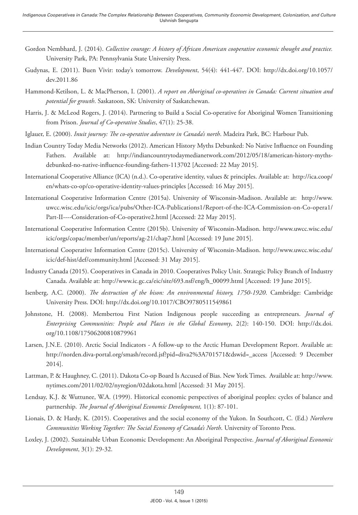- Gordon Nembhard, J. (2014). *Collective courage: A history of African American cooperative economic thought and practice.*  University Park, PA: Pennsylvania State University Press.
- Gudynas, E. (2011). Buen Vivir: today's tomorrow. *Development*, 54(4): 441-447. DOI: [http://dx.doi.org/10.1057/](http://dx.doi.org/10.1057/dev.2011.86) [dev.2011.86](http://dx.doi.org/10.1057/dev.2011.86)
- Hammond-Ketilson, L. & MacPherson, I. (2001). *A report on Aboriginal co-operatives in Canada: Current situation and potential for growth*. Saskatoon, SK: University of Saskatchewan.
- Harris, J. & McLeod Rogers, J. (2014). Partnering to Build a Social Co-operative for Aboriginal Women Transitioning from Prison. *Journal of Co-operative Studies*, 47(1): 25-38.
- Iglauer, E. (2000). *Inuit journey: The co-operative adventure in Canada's north*. Madeira Park, BC: Harbour Pub.
- Indian Country Today Media Networks (2012). American History Myths Debunked: No Native Influence on Founding Fathers. Available at: http://indiancountrytodaymedianetwork.com/2012/05/18/american-history-mythsdebunked-no-native-influence-founding-fathers-113702 [Accessed: 22 May 2015].
- International Cooperative Alliance (ICA) (n.d.). Co-operative identity, values & principles. Available at: [http://ica.coop/](http://ica.coop/en/whats-co-op/co-operative-identity-values-principles) [en/whats-co-op/co-operative-identity-values-principles](http://ica.coop/en/whats-co-op/co-operative-identity-values-principles) [Accessed: 16 May 2015].
- International Cooperative Information Centre (2015a). University of Wisconsin-Madison. Available at: [http://www.](http://www.uwcc.wisc.edu/icic/orgs/ica/pubs/Other-ICA-Publications1/Report-of-the-ICA-Commission-on-Co-opera1/Part-II----Consideration-of-Co-operative2.html) [uwcc.wisc.edu/icic/orgs/ica/pubs/Other-ICA-Publications1/Report-of-the-ICA-Commission-on-Co-opera1/](http://www.uwcc.wisc.edu/icic/orgs/ica/pubs/Other-ICA-Publications1/Report-of-the-ICA-Commission-on-Co-opera1/Part-II----Consideration-of-Co-operative2.html) [Part-II----Consideration-of-Co-operative2.html](http://www.uwcc.wisc.edu/icic/orgs/ica/pubs/Other-ICA-Publications1/Report-of-the-ICA-Commission-on-Co-opera1/Part-II----Consideration-of-Co-operative2.html) [Accessed: 22 May 2015].
- International Cooperative Information Centre (2015b). University of Wisconsin-Madison. [http://www.uwcc.wisc.edu/](http://www.uwcc.wisc.edu/icic/orgs/copac/member/un/reports/ag-21/chap7.html) [icic/orgs/copac/member/un/reports/ag-21/chap7.html](http://www.uwcc.wisc.edu/icic/orgs/copac/member/un/reports/ag-21/chap7.html) [Accessed: 19 June 2015].
- International Cooperative Information Centre (2015c). University of Wisconsin-Madison. http://www.uwcc.wisc.edu/ icic/def-hist/def/community.html [Accessed: 31 May 2015].
- Industry Canada (2015). Cooperatives in Canada in 2010. Cooperatives Policy Unit. Strategic Policy Branch of Industry Canada. Available at: [http://www.ic.gc.ca/eic/site/693.nsf/eng/h\\_00099.html](http://www.ic.gc.ca/eic/site/693.nsf/eng/h_00099.html) [Accessed: 19 June 2015].
- Isenberg, A.C. (2000). *The destruction of the bison: An environmental history, 1750-1920*. Cambridge: Cambridge University Press. DOI: <http://dx.doi.org/10.1017/CBO9780511549861>
- Johnstone, H. (2008). Membertou First Nation Indigenous people succeeding as entrepreneurs. *Journal of Enterprising Communities: People and Places in the Global Economy*, 2(2): 140-150. DOI: [http://dx.doi.](http://dx.doi.org/10.1108/17506200810879961) [org/10.1108/17506200810879961](http://dx.doi.org/10.1108/17506200810879961)
- Larsen, J.N.E. (2010). Arctic Social Indicators A follow-up to the Arctic Human Development Report. Available at: [http://norden.diva-portal.org/smash/record.jsf?pid=diva2%3A701571&dswid=\\_access](http://norden.diva-portal.org/smash/record.jsf?pid=diva2%3A701571&dswid=_access) [Accessed: 9 December 2014].
- Lattman, P. & Haughney, C. (2011). Dakota Co-op Board Is Accused of Bias. New York Times. Available at: [http://www.](http://www.nytimes.com/2011/02/02/nyregion/02dakota.html) [nytimes.com/2011/02/02/nyregion/02dakota.html](http://www.nytimes.com/2011/02/02/nyregion/02dakota.html) [Accessed: 31 May 2015].
- Lendsay, K.J. & Wuttunee, W.A. (1999). Historical economic perspectives of aboriginal peoples: cycles of balance and partnership. *The Journal of Aboriginal Economic Development,* 1(1): 87-101.
- Lionais, D. & Hardy, K. (2015). Cooperatives and the social economy of the Yukon. In Southcott, C. (Ed.) *Northern Communities Working Together: The Social Economy of Canada's North*. University of Toronto Press.
- Loxley, J. (2002). Sustainable Urban Economic Development: An Aboriginal Perspective. *Journal of Aboriginal Economic Development*, 3(1): 29-32.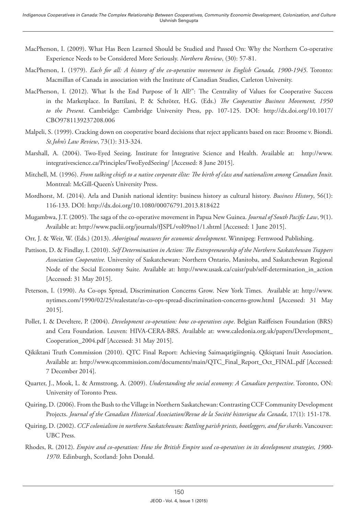- MacPherson, I. (2009). What Has Been Learned Should be Studied and Passed On: Why the Northern Co-operative Experience Needs to be Considered More Seriously. *Northern Review*, (30): 57-81.
- MacPherson, I. (1979). *Each for all: A history of the co-operative movement in English Canada, 1900-1945*. Toronto: Macmillan of Canada in association with the Institute of Canadian Studies, Carleton University.
- MacPherson, I. (2012). What Is the End Purpose of It All?": The Centrality of Values for Cooperative Success in the Marketplace. In Battilani, P. & Schröter, H.G. (Eds.) *The Cooperative Business Movement, 1950 to the Present*. Cambridge: Cambridge University Press, pp. 107-125. DOI: [http://dx.doi.org/10.1017/](http://dx.doi.org/10.1017/CBO9781139237208.006) [CBO9781139237208.006](http://dx.doi.org/10.1017/CBO9781139237208.006)
- Malpeli, S. (1999). Cracking down on cooperative board decisions that reject applicants based on race: Broome v. Biondi. *St.John's Law Review*, 73(1): 313-324.
- Marshall, A. (2004). Two-Eyed Seeing. Institute for Integrative Science and Health. Available at: http://www. integrativescience.ca/Principles/TwoEyedSeeing/ [Accessed: 8 June 2015].
- Mitchell, M. (1996). *From talking chiefs to a native corporate élite: The birth of class and nationalism among Canadian Inuit*. Montreal: McGill-Queen's University Press.
- Mordhorst, M. (2014). Arla and Danish national identity: business history as cultural history. *Business History*, 56(1): 116-133. DOI:<http://dx.doi.org/10.1080/00076791.2013.818422>
- Mugambwa, J.T. (2005). The saga of the co-operative movement in Papua New Guinea. *Journal of South Pacific Law*, 9(1). Available at: <http://www.paclii.org/journals/fJSPL/vol09no1/1.shtml> [Accessed: 1 June 2015].
- Orr, J. & Weir, W. (Eds.) (2013). *Aboriginal measures for economic development*. Winnipeg: Fernwood Publishing.
- Pattison, D. & Findlay, I. (2010). *Self Determination in Action: The Entrepreneurship of the Northern Saskatchewan Trappers Association Cooperative.* University of Saskatchewan: Northern Ontario, Manitoba, and Saskatchewan Regional Node of the Social Economy Suite. Available at: [http://www.usask.ca/cuisr/pub/self-determination\\_in\\_action](http://www.usask.ca/cuisr/pub/self-determination_in_action) [Accessed: 31 May 2015].
- Peterson, I. (1990). As Co-ops Spread, Discrimination Concerns Grow. New York Times. Available at: [http://www.](http://www.nytimes.com/1990/02/25/realestate/as-co-ops-spread-discrimination-concerns-grow.html) [nytimes.com/1990/02/25/realestate/as-co-ops-spread-discrimination-concerns-grow.html](http://www.nytimes.com/1990/02/25/realestate/as-co-ops-spread-discrimination-concerns-grow.html) **[**Accessed: 31 May 2015].
- Pollet, I. & Develtere, P. (2004). *Development co-operation: how co-operatives cope*. Belgian Raiffeisen Foundation (BRS) and Cera Foundation. Leuven: HIVA-CERA-BRS. Available at: [www.caledonia.org.uk/papers/Development\\_](http://www.caledonia.org.uk/papers/Development_Cooperation_2004.pdf) [Cooperation\\_2004.pdf](http://www.caledonia.org.uk/papers/Development_Cooperation_2004.pdf) [Accessed: 31 May 2015].
- Qikiktani Truth Commission (2010). QTC Final Report: Achieving Saimaqatigiingniq. Qikiqtani Inuit Association. Available at: http://www.qtcommission.com/documents/main/QTC\_Final\_Report\_Oct\_FINAL.pdf [Accessed: 7 December 2014].
- Quarter, J., Mook, L. & Armstrong, A. (2009). *Understanding the social economy: A Canadian perspective*. Toronto, ON: University of Toronto Press.
- Quiring, D. (2006). From the Bush to the Village in Northern Saskatchewan: Contrasting CCF Community Development Projects. *Journal of the Canadian Historical Association/Revue de la Société historique du Canada*, 17(1): 151-178.
- Quiring, D. (2002). *CCF colonialism in northern Saskatchewan: Battling parish priests, bootleggers, and fur sharks*. Vancouver: UBC Press.
- Rhodes, R. (2012). *Empire and co-operation: How the British Empire used co-operatives in its development strategies, 1900- 1970*. Edinburgh, Scotland: John Donald.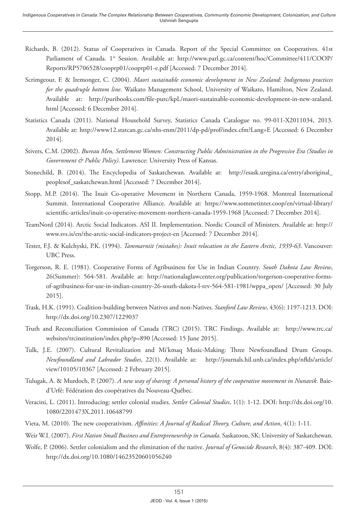- Richards, B. (2012). Status of Cooperatives in Canada. Report of the Special Committee on Cooperatives. 41st Parliament of Canada. 1<sup>st</sup> Session. Available at: [http://www.parl.gc.ca/content/hoc/Committee/411/COOP/](http://www.parl.gc.ca/content/hoc/Committee/411/COOP/Reports/RP5706528/cooprp01/cooprp01-e.pdf) [Reports/RP5706528/cooprp01/cooprp01-e.pdf](http://www.parl.gc.ca/content/hoc/Committee/411/COOP/Reports/RP5706528/cooprp01/cooprp01-e.pdf) [Accessed: 7 December 2014].
- Scrimgeour, F. & Iremonger, C. (2004). *Maori sustainable economic development in New Zealand: Indigenous practices for the quadruple bottom line*. Waikato Management School, University of Waikato, Hamilton, New Zealand. Available at: [http://puribooks.com/file-purc/kpL/maori-sustainable-economic-development-in-new-zealand.](http://puribooks.com/file-purc/kpL/maori-sustainable-economic-development-in-new-zealand.html) [html](http://puribooks.com/file-purc/kpL/maori-sustainable-economic-development-in-new-zealand.html) [Accessed: 6 December 2014].
- Statistics Canada (2011). National Household Survey, Statistics Canada Catalogue no. 99-011-X2011034, 2013. Available at: <http://www12.statcan.gc.ca/nhs-enm/2011/dp-pd/prof/index.cfm?Lang=E>[Accessed: 6 December 2014].
- Stivers, C.M. (2002). *Bureau Men, Settlement Women: Constructing Public Administration in the Progressive Era (Studies in Government & Public Policy)*. Lawrence: University Press of Kansas.
- Stonechild, B. (2014). The Encyclopedia of Saskatchewan. Available at: [http://esask.uregina.ca/entry/aboriginal\\_](http://esask.uregina.ca/entry/aboriginal_peoplesof_saskatchewan.html) [peoplesof\\_saskatchewan.html](http://esask.uregina.ca/entry/aboriginal_peoplesof_saskatchewan.html) [Accessed: 7 December 2014].
- Stopp, M.P. (2014). The Inuit Co-operative Movement in Northern Canada, 1959-1968. Montreal International Summit. International Cooperative Alliance. Available at: https://www.sommetinter.coop/en/virtual-library/ scientific-articles/inuit-co-operative-movement-northern-canada-1959-1968 [Accessed: 7 December 2014].
- TeamNord (2014). Arctic Social Indicators. ASI II. Implementation. Nordic Council of Ministers. Available at: [http://](http://www.svs.is/en/the-arctic-social-indicators-project-en) [www.svs.is/en/the-arctic-social-indicators-project-en](http://www.svs.is/en/the-arctic-social-indicators-project-en) [Accessed: 7 December 2014].
- Tester, F.J. & Kulchyski, P.K. (1994). *Tammarniit (mistakes): Inuit relocation in the Eastern Arctic, 1939-63*. Vancouver: UBC Press.
- Torgerson, R. E. (1981). Cooperative Forms of Agribusiness for Use in Indian Country. *South Dakota Law Review*, 26(Summer): 564-581. Available at: [http://nationalaglawcenter.org/publication/torgerson-cooperative-forms](http://nationalaglawcenter.org/publication/torgerson-cooperative-forms-of-agribusiness-for-use-in-indian-country-26-south-dakota-l-rev-564-581-1981/wppa_open/)[of-agribusiness-for-use-in-indian-country-26-south-dakota-l-rev-564-581-1981/wppa\\_open/](http://nationalaglawcenter.org/publication/torgerson-cooperative-forms-of-agribusiness-for-use-in-indian-country-26-south-dakota-l-rev-564-581-1981/wppa_open/) [Accessed: 30 July 2015].
- Trask, H.K. (1991). Coalition-building between Natives and non-Natives. *Stanford Law Review*, 43(6): 1197-1213. DOI: <http://dx.doi.org/10.2307/1229037>
- Truth and Reconciliation Commission of Canada (TRC) (2015). TRC Findings. Available at: [http://www.trc.ca/](http://www.trc.ca/websites/trcinstitution/index.php?p=890) [websites/trcinstitution/index.php?p=890](http://www.trc.ca/websites/trcinstitution/index.php?p=890) [Accessed: 15 June 2015].
- Tulk, J.E. (2007). Cultural Revitalization and Mi'kmaq Music-Making: Three Newfoundland Drum Groups. *Newfoundland and Labrador Studies*, 22(1). Available at: [http://journals.hil.unb.ca/index.php/nflds/article/](http://journals.hil.unb.ca/index.php/nflds/article/view/10105/10367) [view/10105/10367](http://journals.hil.unb.ca/index.php/nflds/article/view/10105/10367) [Accessed: 2 February 2015].
- Tulugak, A. & Murdoch, P. (2007). *A new way of sharing: A personal history of the cooperative movement in Nunavik*. Baied'Urfé: Fédération des coopératives du Nouveau-Québec.
- Veracini, L. (2011). Introducing: settler colonial studies. *Settler Colonial Studies*, 1(1): 1-12. DOI: [http://dx.doi.org/10.](http://dx.doi.org/10.1080/2201473X.2011.10648799) [1080/2201473X.2011.10648799](http://dx.doi.org/10.1080/2201473X.2011.10648799)
- Vieta, M. (2010). The new cooperativism. *Affinities: A Journal of Radical Theory, Culture, and Action*, 4(1): 1-11.
- Weir W.I. (2007). *First Nation Small Business and Entrepreneurship in Canada*. Saskatoon, SK: University of Saskatchewan.
- Wolfe, P. (2006). Settler colonialism and the elimination of the native. *Journal of Genocide Research*, 8(4): 387-409. DOI: <http://dx.doi.org/10.1080/14623520601056240>